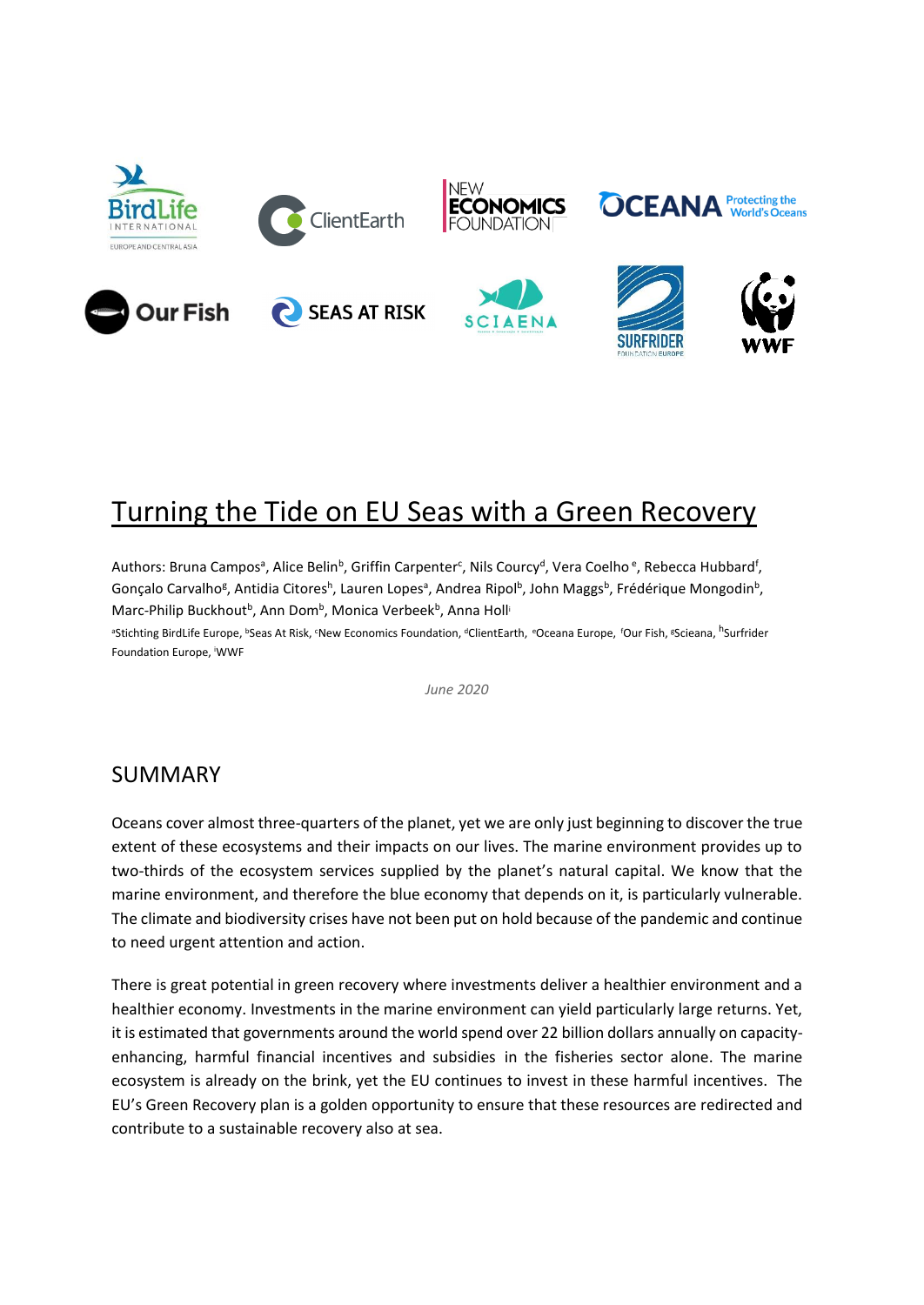

# Turning the Tide on EU Seas with a Green Recovery

Authors: Bruna Campos<sup>a</sup>, Alice Belin<sup>b</sup>, Griffin Carpenter<sup>c</sup>, Nils Courcy<sup>d</sup>, Vera Coelho<sup>e</sup>, Rebecca Hubbard<sup>f</sup>, Gonçalo Carvalho<sup>g</sup>, Antidia Citores<sup>h</sup>, Lauren Lopes<sup>a</sup>, Andrea Ripol<sup>b</sup>, John Maggs<sup>b</sup>, Frédérique Mongodin<sup>b</sup>, Marc-Philip Buckhout<sup>b</sup>, Ann Dom<sup>b</sup>, Monica Verbeek<sup>b</sup>, Anna Holl<sup>i</sup>

<sup>a</sup>Stichting BirdLife Europe, <sup>ь</sup>Seas At Risk, <sup>c</sup>New Economics Foundation, <sup>d</sup>ClientEarth, <sup>e</sup>Oceana Europe, *'Our Fish, <sup>g</sup>Scieana, <sup>h</sup>Surfrider* Foundation Europe, <sup>i</sup>WWF

*June 2020*

### SUMMARY

Oceans cover almost three-quarters of the planet, yet we are only just beginning to discover the true extent of these ecosystems and their impacts on our lives. The marine environment provides up to two-thirds of the ecosystem services supplied by the planet's natural capital. We know that the marine environment, and therefore the blue economy that depends on it, is particularly vulnerable. The climate and biodiversity crises have not been put on hold because of the pandemic and continue to need urgent attention and action.

There is great potential in green recovery where investments deliver a healthier environment and a healthier economy. Investments in the marine environment can yield particularly large returns. Yet, it is estimated that governments around the world spend over 22 billion dollars annually on capacityenhancing, harmful financial incentives and subsidies in the fisheries sector alone. The marine ecosystem is already on the brink, yet the EU continues to invest in these harmful incentives. The EU's Green Recovery plan is a golden opportunity to ensure that these resources are redirected and contribute to a sustainable recovery also at sea.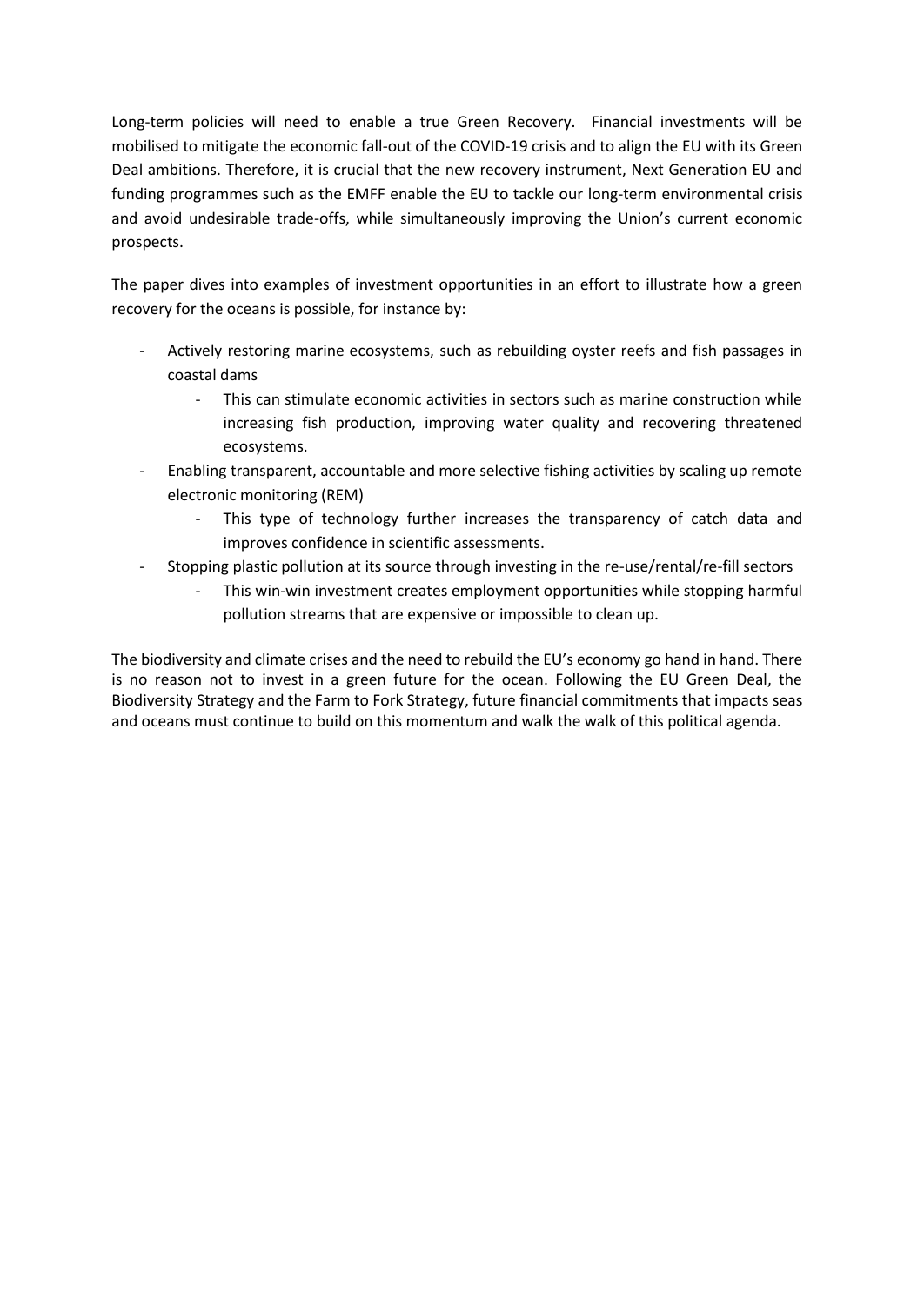Long-term policies will need to enable a true Green Recovery. Financial investments will be mobilised to mitigate the economic fall-out of the COVID-19 crisis and to align the EU with its Green Deal ambitions. Therefore, it is crucial that the new recovery instrument, Next Generation EU and funding programmes such as the EMFF enable the EU to tackle our long-term environmental crisis and avoid undesirable trade-offs, while simultaneously improving the Union's current economic prospects.

The paper dives into examples of investment opportunities in an effort to illustrate how a green recovery for the oceans is possible, for instance by:

- Actively restoring marine ecosystems, such as rebuilding oyster reefs and fish passages in coastal dams
	- This can stimulate economic activities in sectors such as marine construction while increasing fish production, improving water quality and recovering threatened ecosystems.
- Enabling transparent, accountable and more selective fishing activities by scaling up remote electronic monitoring (REM)
	- This type of technology further increases the transparency of catch data and improves confidence in scientific assessments.
- Stopping plastic pollution at its source through investing in the re-use/rental/re-fill sectors
	- This win-win investment creates employment opportunities while stopping harmful pollution streams that are expensive or impossible to clean up.

The biodiversity and climate crises and the need to rebuild the EU's economy go hand in hand. There is no reason not to invest in a green future for the ocean. Following the EU Green Deal, the Biodiversity Strategy and the Farm to Fork Strategy, future financial commitments that impacts seas and oceans must continue to build on this momentum and walk the walk of this political agenda.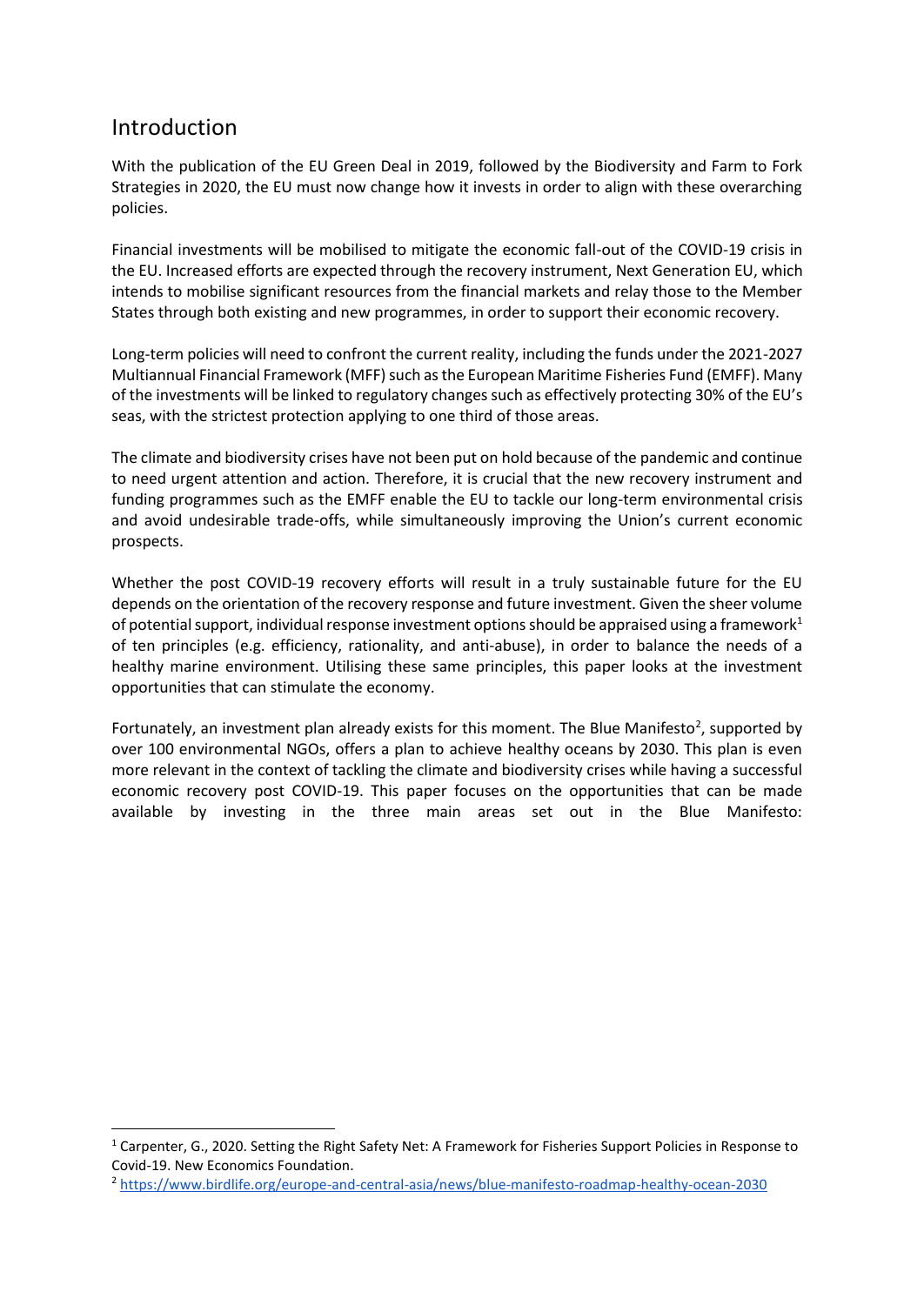### Introduction

-

With the publication of the EU Green Deal in 2019, followed by the Biodiversity and Farm to Fork Strategies in 2020, the EU must now change how it invests in order to align with these overarching policies.

Financial investments will be mobilised to mitigate the economic fall-out of the COVID-19 crisis in the EU. Increased efforts are expected through the recovery instrument, Next Generation EU, which intends to mobilise significant resources from the financial markets and relay those to the Member States through both existing and new programmes, in order to support their economic recovery.

Long-term policies will need to confront the current reality, including the funds under the 2021-2027 Multiannual Financial Framework (MFF) such as the European Maritime Fisheries Fund (EMFF). Many of the investments will be linked to regulatory changes such as effectively protecting 30% of the EU's seas, with the strictest protection applying to one third of those areas.

The climate and biodiversity crises have not been put on hold because of the pandemic and continue to need urgent attention and action. Therefore, it is crucial that the new recovery instrument and funding programmes such as the EMFF enable the EU to tackle our long-term environmental crisis and avoid undesirable trade-offs, while simultaneously improving the Union's current economic prospects.

Whether the post COVID-19 recovery efforts will result in a truly sustainable future for the EU depends on the orientation of the recovery response and future investment. Given the sheer volume of potential support, individual response investment options should be appraised using a framework<sup>1</sup> of ten principles (e.g. efficiency, rationality, and anti-abuse), in order to balance the needs of a healthy marine environment. Utilising these same principles, this paper looks at the investment opportunities that can stimulate the economy.

Fortunately, an investment plan already exists for this moment. The Blue Manifesto<sup>2</sup>, supported by over 100 environmental NGOs, offers a plan to achieve healthy oceans by 2030. This plan is even more relevant in the context of tackling the climate and biodiversity crises while having a successful economic recovery post COVID-19. This paper focuses on the opportunities that can be made available by investing in the three main areas set out in the Blue Manifesto:

<sup>1</sup> Carpenter, G., 2020. Setting the Right Safety Net: A Framework for Fisheries Support Policies in Response to Covid-19. New Economics Foundation.

<sup>2</sup> <https://www.birdlife.org/europe-and-central-asia/news/blue-manifesto-roadmap-healthy-ocean-2030>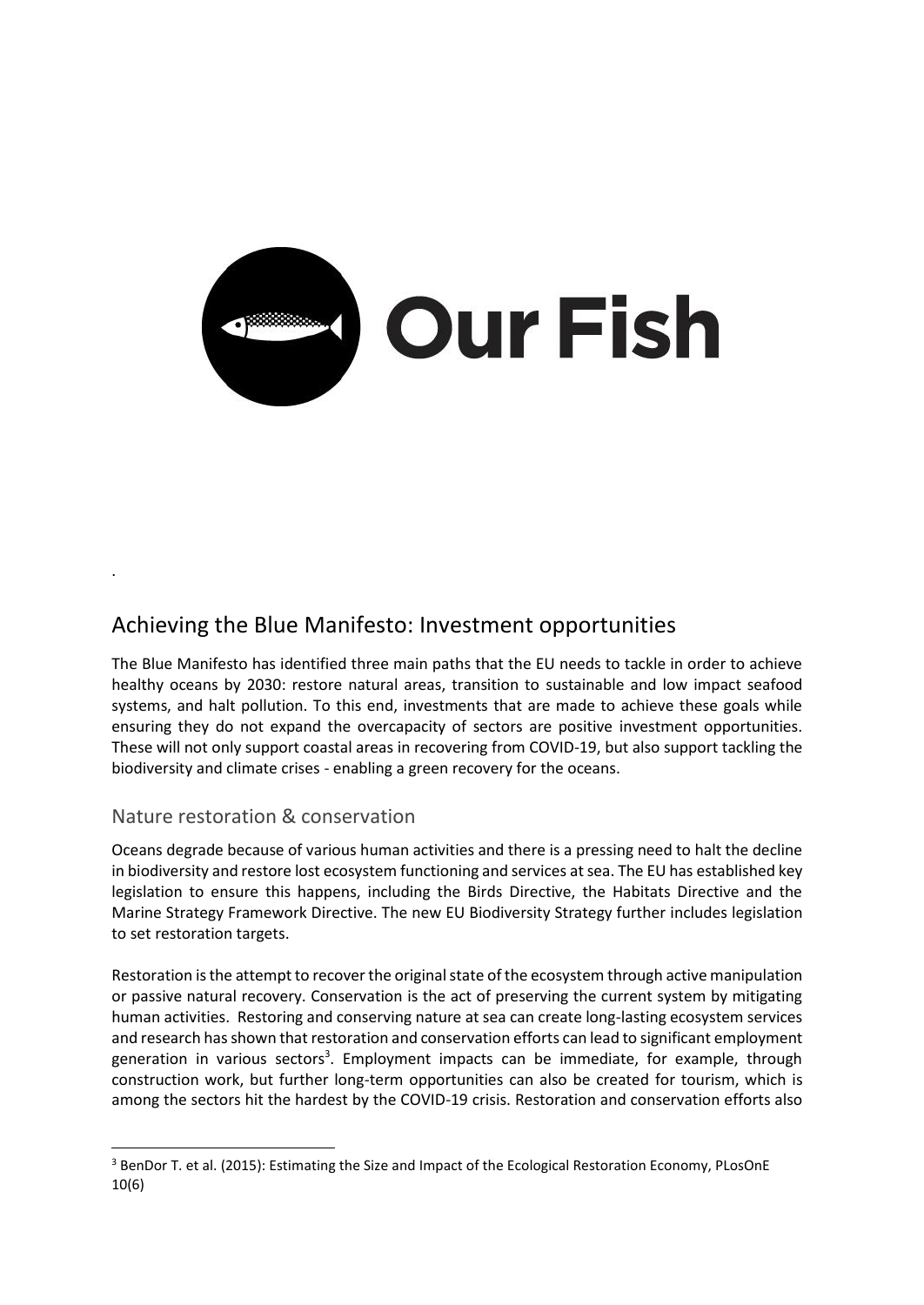

### Achieving the Blue Manifesto: Investment opportunities

The Blue Manifesto has identified three main paths that the EU needs to tackle in order to achieve healthy oceans by 2030: restore natural areas, transition to sustainable and low impact seafood systems, and halt pollution. To this end, investments that are made to achieve these goals while ensuring they do not expand the overcapacity of sectors are positive investment opportunities. These will not only support coastal areas in recovering from COVID-19, but also support tackling the biodiversity and climate crises - enabling a green recovery for the oceans.

#### Nature restoration & conservation

.

-

Oceans degrade because of various human activities and there is a pressing need to halt the decline in biodiversity and restore lost ecosystem functioning and services at sea. The EU has established key legislation to ensure this happens, including the Birds Directive, the Habitats Directive and the Marine Strategy Framework Directive. The new EU Biodiversity Strategy further includes legislation to set restoration targets.

Restoration is the attempt to recover the original state of the ecosystem through active manipulation or passive natural recovery. Conservation is the act of preserving the current system by mitigating human activities. Restoring and conserving nature at sea can create long-lasting ecosystem services and research has shown that restoration and conservation efforts can lead to significant employment generation in various sectors<sup>3</sup>. Employment impacts can be immediate, for example, through construction work, but further long-term opportunities can also be created for tourism, which is among the sectors hit the hardest by the COVID-19 crisis. Restoration and conservation efforts also

<sup>&</sup>lt;sup>3</sup> BenDor T. et al. (2015): Estimating the Size and Impact of the Ecological Restoration Economy, PLosOnE 10(6)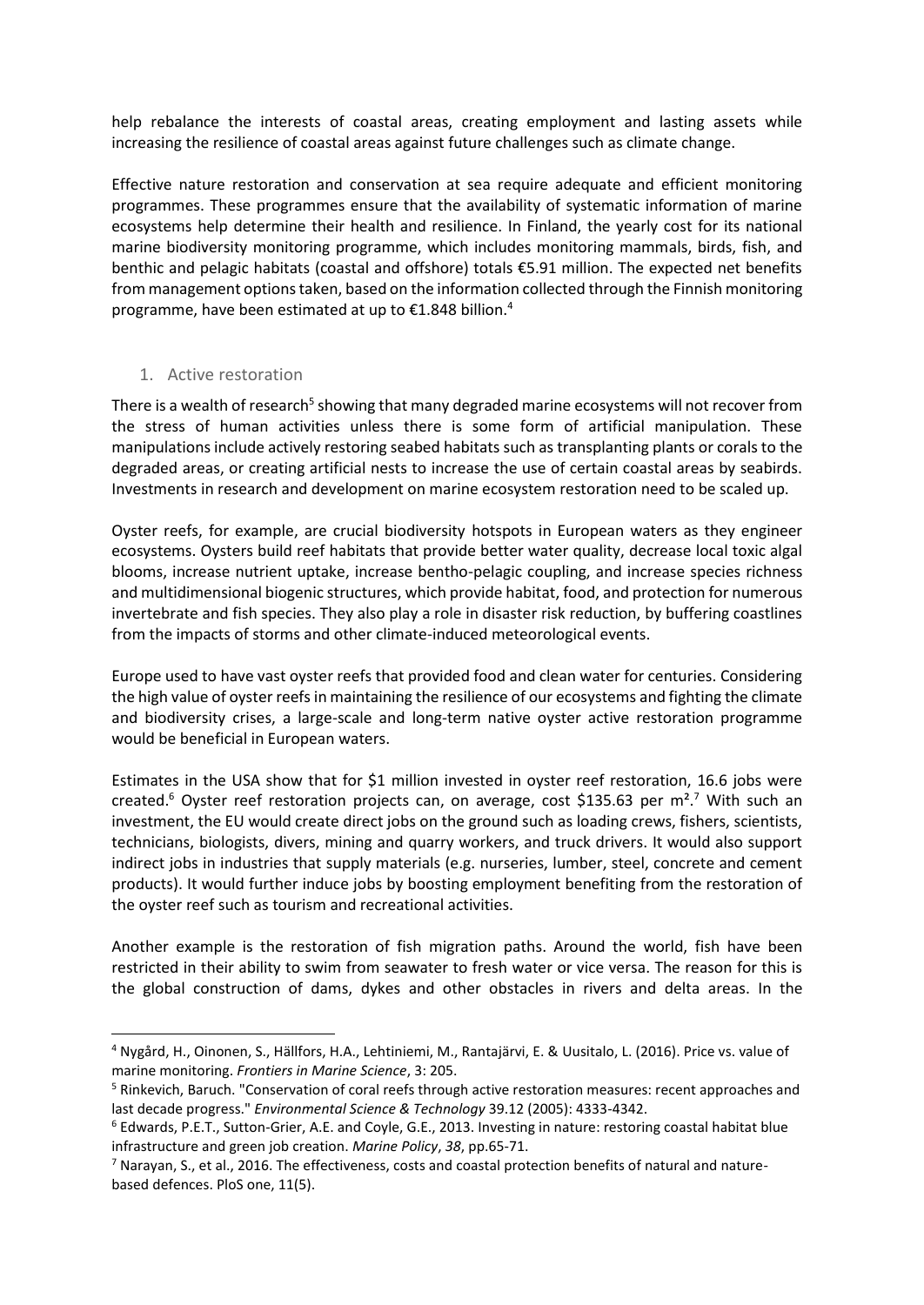help rebalance the interests of coastal areas, creating employment and lasting assets while increasing the resilience of coastal areas against future challenges such as climate change.

Effective nature restoration and conservation at sea require adequate and efficient monitoring programmes. These programmes ensure that the availability of systematic information of marine ecosystems help determine their health and resilience. In Finland, the yearly cost for its national marine biodiversity monitoring programme, which includes monitoring mammals, birds, fish, and benthic and pelagic habitats (coastal and offshore) totals €5.91 million. The expected net benefits from management options taken, based on the information collected through the Finnish monitoring programme, have been estimated at up to €1.848 billion.<sup>4</sup>

#### 1. Active restoration

-

There is a wealth of research<sup>5</sup> showing that many degraded marine ecosystems will not recover from the stress of human activities unless there is some form of artificial manipulation. These manipulations include actively restoring seabed habitats such as transplanting plants or corals to the degraded areas, or creating artificial nests to increase the use of certain coastal areas by seabirds. Investments in research and development on marine ecosystem restoration need to be scaled up.

Oyster reefs, for example, are crucial biodiversity hotspots in European waters as they engineer ecosystems. Oysters build reef habitats that provide better water quality, decrease local toxic algal blooms, increase nutrient uptake, increase bentho-pelagic coupling, and increase species richness and multidimensional biogenic structures, which provide habitat, food, and protection for numerous invertebrate and fish species. They also play a role in disaster risk reduction, by buffering coastlines from the impacts of storms and other climate-induced meteorological events.

Europe used to have vast oyster reefs that provided food and clean water for centuries. Considering the high value of oyster reefs in maintaining the resilience of our ecosystems and fighting the climate and biodiversity crises, a large-scale and long-term native oyster active restoration programme would be beneficial in European waters.

Estimates in the USA show that for \$1 million invested in oyster reef restoration, 16.6 jobs were created.<sup>6</sup> Oyster reef restoration projects can, on average, cost \$135.63 per  $m<sup>2</sup>$ . With such an investment, the EU would create direct jobs on the ground such as loading crews, fishers, scientists, technicians, biologists, divers, mining and quarry workers, and truck drivers. It would also support indirect jobs in industries that supply materials (e.g. nurseries, lumber, steel, concrete and cement products). It would further induce jobs by boosting employment benefiting from the restoration of the oyster reef such as tourism and recreational activities.

Another example is the restoration of fish migration paths. Around the world, fish have been restricted in their ability to swim from seawater to fresh water or vice versa. The reason for this is the global construction of dams, dykes and other obstacles in rivers and delta areas. In the

<sup>4</sup> Nygård, H., Oinonen, S., Hällfors, H.A., Lehtiniemi, M., Rantajärvi, E. & Uusitalo, L. (2016). Price vs. value of marine monitoring. *Frontiers in Marine Science*, 3: 205.

<sup>5</sup> Rinkevich, Baruch. "Conservation of coral reefs through active restoration measures: recent approaches and last decade progress." *Environmental Science & Technology* 39.12 (2005): 4333-4342.

<sup>6</sup> Edwards, P.E.T., Sutton-Grier, A.E. and Coyle, G.E., 2013. Investing in nature: restoring coastal habitat blue infrastructure and green job creation. *Marine Policy*, *38*, pp.65-71.

 $<sup>7</sup>$  Narayan, S., et al., 2016. The effectiveness, costs and coastal protection benefits of natural and nature-</sup> based defences. PloS one, 11(5).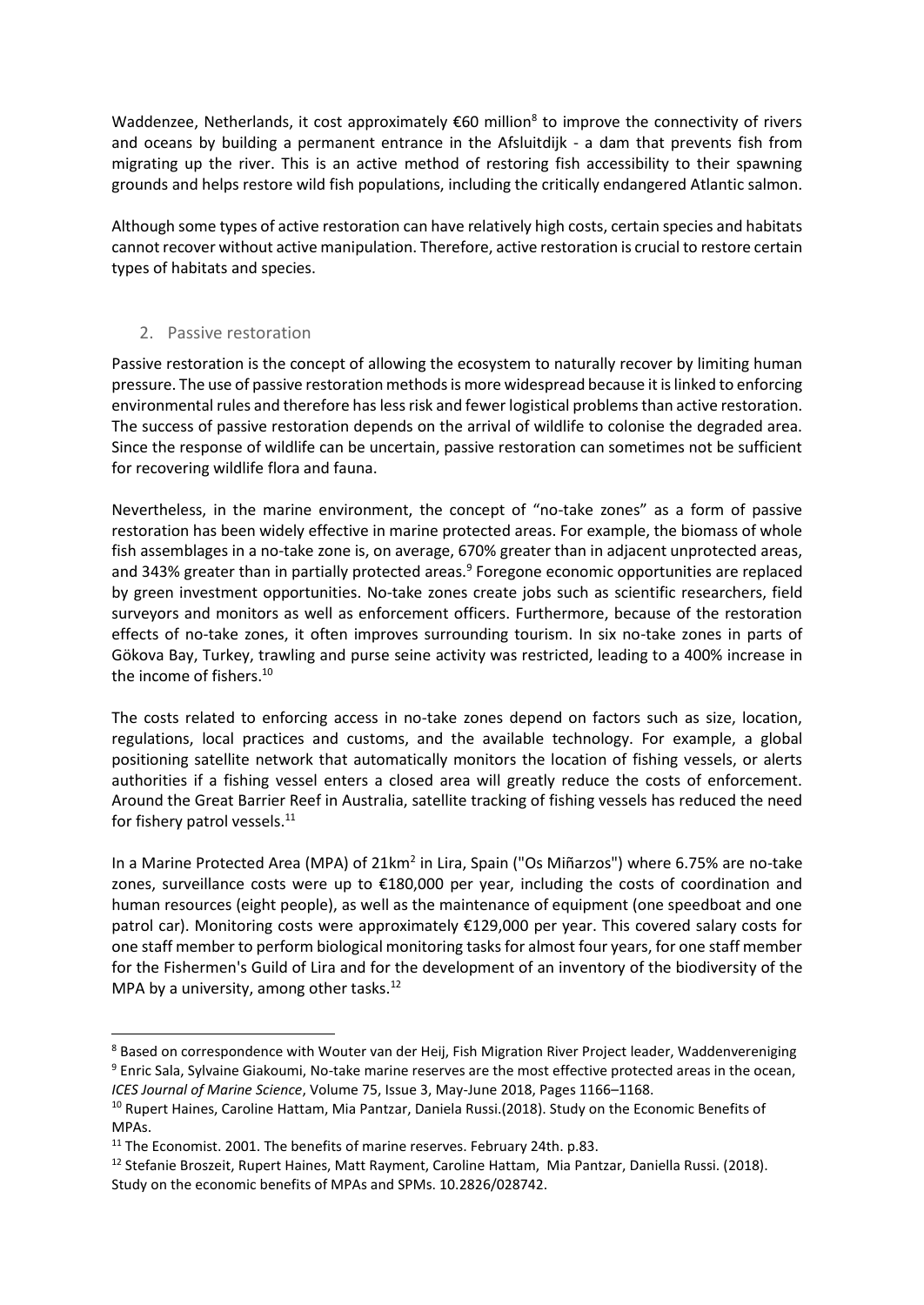Waddenzee, Netherlands, it cost approximately  $\epsilon$ 60 million<sup>8</sup> to improve the connectivity of rivers and oceans by building a permanent entrance in the Afsluitdijk - a dam that prevents fish from migrating up the river. This is an active method of restoring fish accessibility to their spawning grounds and helps restore wild fish populations, including the critically endangered Atlantic salmon.

Although some types of active restoration can have relatively high costs, certain species and habitats cannot recover without active manipulation. Therefore, active restoration is crucial to restore certain types of habitats and species.

#### 2. Passive restoration

-

Passive restoration is the concept of allowing the ecosystem to naturally recover by limiting human pressure. The use of passive restoration methods is more widespread because it is linked to enforcing environmental rules and therefore has less risk and fewer logistical problems than active restoration. The success of passive restoration depends on the arrival of wildlife to colonise the degraded area. Since the response of wildlife can be uncertain, passive restoration can sometimes not be sufficient for recovering wildlife flora and fauna.

Nevertheless, in the marine environment, the concept of "no-take zones" as a form of passive restoration has been widely effective in marine protected areas. For example, the biomass of whole fish assemblages in a no-take zone is, on average, 670% greater than in adjacent unprotected areas, and 343% greater than in partially protected areas.<sup>9</sup> Foregone economic opportunities are replaced by green investment opportunities. No-take zones create jobs such as scientific researchers, field surveyors and monitors as well as enforcement officers. Furthermore, because of the restoration effects of no-take zones, it often improves surrounding tourism. In six no-take zones in parts of Gökova Bay, Turkey, trawling and purse seine activity was restricted, leading to a 400% increase in the income of fishers.<sup>10</sup>

The costs related to enforcing access in no-take zones depend on factors such as size, location, regulations, local practices and customs, and the available technology. For example, a global positioning satellite network that automatically monitors the location of fishing vessels, or alerts authorities if a fishing vessel enters a closed area will greatly reduce the costs of enforcement. Around the Great Barrier Reef in Australia, satellite tracking of fishing vessels has reduced the need for fishery patrol vessels.<sup>11</sup>

In a Marine Protected Area (MPA) of 21km<sup>2</sup> in Lira, Spain ("Os Miñarzos") where 6.75% are no-take zones, surveillance costs were up to €180,000 per year, including the costs of coordination and human resources (eight people), as well as the maintenance of equipment (one speedboat and one patrol car). Monitoring costs were approximately €129,000 per year. This covered salary costs for one staff member to perform biological monitoring tasks for almost four years, for one staff member for the Fishermen's Guild of Lira and for the development of an inventory of the biodiversity of the MPA by a university, among other tasks. $^{12}$ 

<sup>&</sup>lt;sup>8</sup> Based on correspondence with Wouter van der Heij, Fish Migration River Project leader, Waddenvereniging <sup>9</sup> Enric Sala, Sylvaine Giakoumi, No-take marine reserves are the most effective protected areas in the ocean, *ICES Journal of Marine Science*, Volume 75, Issue 3, May-June 2018, Pages 1166–1168.

<sup>&</sup>lt;sup>10</sup> Rupert Haines, Caroline Hattam, Mia Pantzar, Daniela Russi.(2018). Study on the Economic Benefits of MPAs.

<sup>&</sup>lt;sup>11</sup> The Economist. 2001. The benefits of marine reserves. February 24th. p.83.

<sup>&</sup>lt;sup>12</sup> Stefanie Broszeit, Rupert Haines, Matt Rayment, Caroline Hattam, Mia Pantzar, Daniella Russi. (2018). Study on the economic benefits of MPAs and SPMs. 10.2826/028742.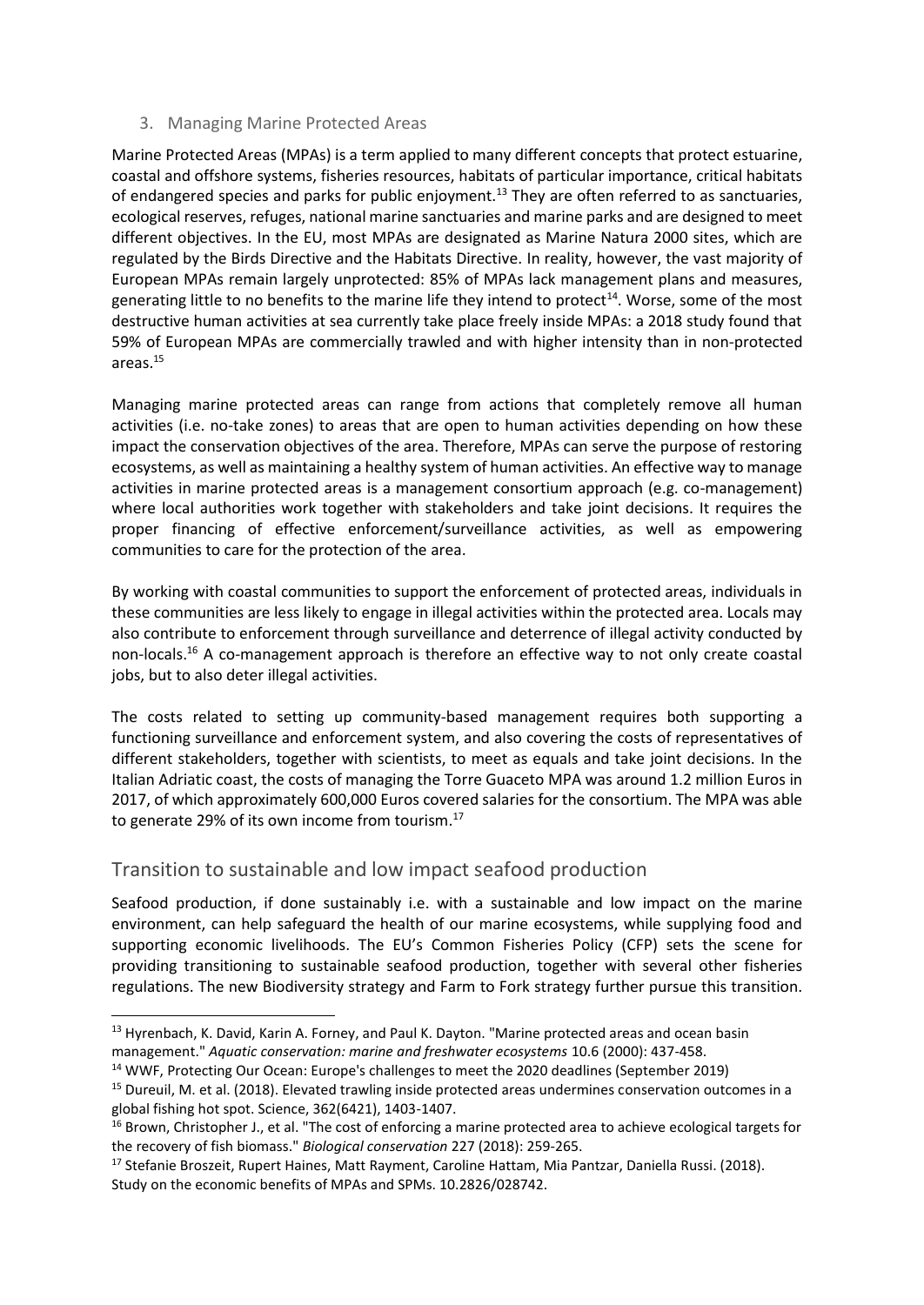#### 3. Managing Marine Protected Areas

Marine Protected Areas (MPAs) is a term applied to many different concepts that protect estuarine, coastal and offshore systems, fisheries resources, habitats of particular importance, critical habitats of endangered species and parks for public enjoyment.<sup>13</sup> They are often referred to as sanctuaries, ecological reserves, refuges, national marine sanctuaries and marine parks and are designed to meet different objectives. In the EU, most MPAs are designated as Marine Natura 2000 sites, which are regulated by the Birds Directive and the Habitats Directive. In reality, however, the vast majority of European MPAs remain largely unprotected: 85% of MPAs lack management plans and measures, generating little to no benefits to the marine life they intend to protect<sup>14</sup>. Worse, some of the most destructive human activities at sea currently take place freely inside MPAs: a 2018 study found that 59% of European MPAs are commercially trawled and with higher intensity than in non-protected areas. 15

Managing marine protected areas can range from actions that completely remove all human activities (i.e. no-take zones) to areas that are open to human activities depending on how these impact the conservation objectives of the area. Therefore, MPAs can serve the purpose of restoring ecosystems, as well as maintaining a healthy system of human activities. An effective way to manage activities in marine protected areas is a management consortium approach (e.g. co-management) where local authorities work together with stakeholders and take joint decisions. It requires the proper financing of effective enforcement/surveillance activities, as well as empowering communities to care for the protection of the area.

By working with coastal communities to support the enforcement of protected areas, individuals in these communities are less likely to engage in illegal activities within the protected area. Locals may also contribute to enforcement through surveillance and deterrence of illegal activity conducted by non-locals.<sup>16</sup> A co-management approach is therefore an effective way to not only create coastal jobs, but to also deter illegal activities.

The costs related to setting up community-based management requires both supporting a functioning surveillance and enforcement system, and also covering the costs of representatives of different stakeholders, together with scientists, to meet as equals and take joint decisions. In the Italian Adriatic coast, the costs of managing the Torre Guaceto MPA was around 1.2 million Euros in 2017, of which approximately 600,000 Euros covered salaries for the consortium. The MPA was able to generate 29% of its own income from tourism.<sup>17</sup>

#### Transition to sustainable and low impact seafood production

-

Seafood production, if done sustainably i.e. with a sustainable and low impact on the marine environment, can help safeguard the health of our marine ecosystems, while supplying food and supporting economic livelihoods. The EU's Common Fisheries Policy (CFP) sets the scene for providing transitioning to sustainable seafood production, together with several other fisheries regulations. The new Biodiversity strategy and Farm to Fork strategy further pursue this transition.

<sup>&</sup>lt;sup>13</sup> Hyrenbach, K. David, Karin A. Forney, and Paul K. Dayton. "Marine protected areas and ocean basin management." *Aquatic conservation: marine and freshwater ecosystems* 10.6 (2000): 437-458.

<sup>&</sup>lt;sup>14</sup> WWF, Protecting Our Ocean: Europe's challenges to meet the 2020 deadlines (September 2019)

<sup>&</sup>lt;sup>15</sup> Dureuil, M. et al. (2018). Elevated trawling inside protected areas undermines conservation outcomes in a global fishing hot spot. Science, 362(6421), 1403-1407.

<sup>&</sup>lt;sup>16</sup> Brown, Christopher J., et al. "The cost of enforcing a marine protected area to achieve ecological targets for the recovery of fish biomass." *Biological conservation* 227 (2018): 259-265.

<sup>&</sup>lt;sup>17</sup> Stefanie Broszeit, Rupert Haines, Matt Rayment, Caroline Hattam, Mia Pantzar, Daniella Russi. (2018). Study on the economic benefits of MPAs and SPMs. 10.2826/028742.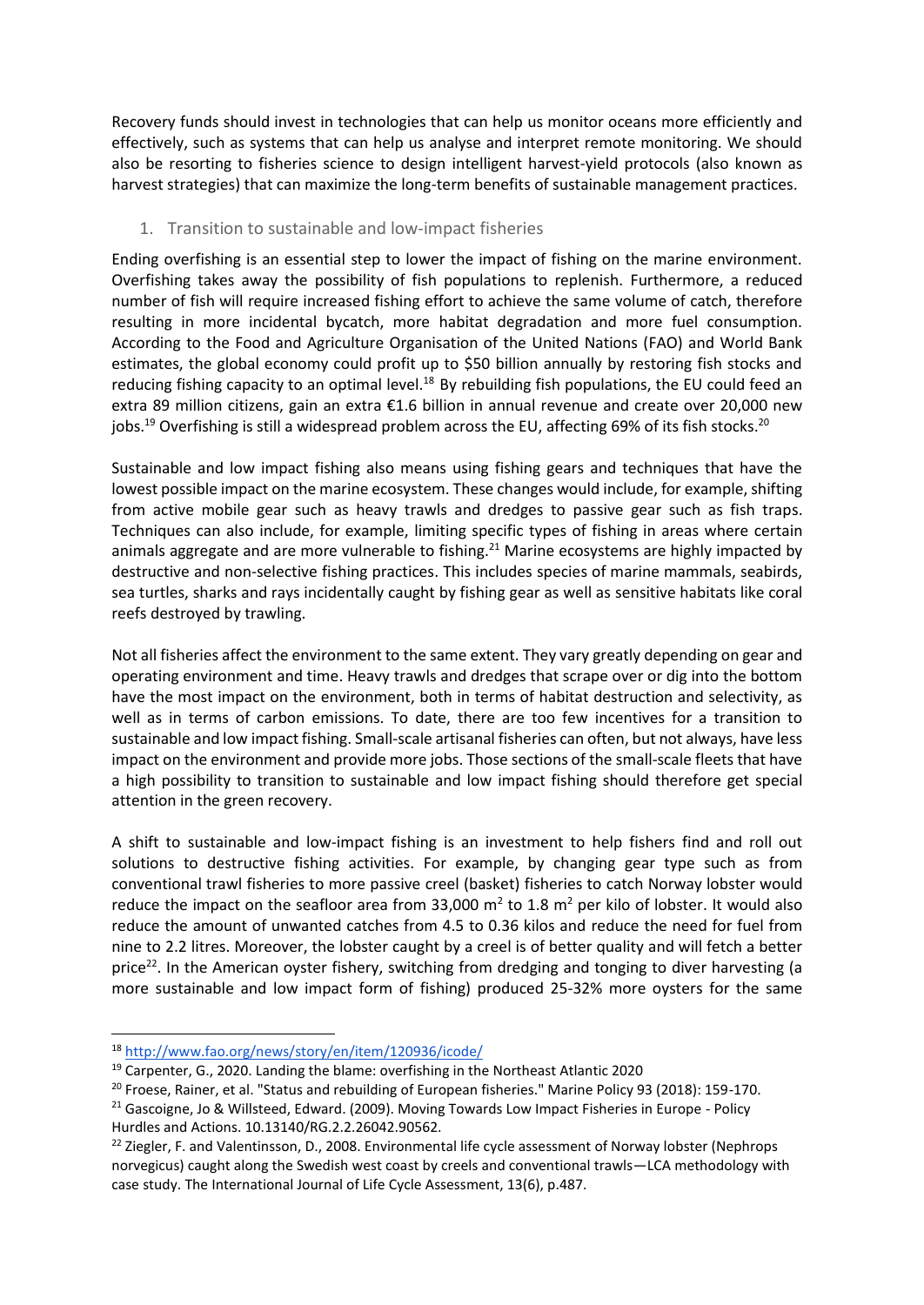Recovery funds should invest in technologies that can help us monitor oceans more efficiently and effectively, such as systems that can help us analyse and interpret remote monitoring. We should also be resorting to fisheries science to design intelligent harvest-yield protocols (also known as harvest strategies) that can maximize the long-term benefits of sustainable management practices.

#### 1. Transition to sustainable and low-impact fisheries

Ending overfishing is an essential step to lower the impact of fishing on the marine environment. Overfishing takes away the possibility of fish populations to replenish. Furthermore, a reduced number of fish will require increased fishing effort to achieve the same volume of catch, therefore resulting in more incidental bycatch, more habitat degradation and more fuel consumption. According to the Food and Agriculture Organisation of the United Nations (FAO) and World Bank estimates, the global economy could profit up to \$50 billion annually by restoring fish stocks and reducing fishing capacity to an optimal level. $^{18}$  By rebuilding fish populations, the EU could feed an extra 89 million citizens, gain an extra €1.6 billion in annual revenue and create over 20,000 new jobs.<sup>19</sup> Overfishing is still a widespread problem across the EU, affecting 69% of its fish stocks.<sup>20</sup>

Sustainable and low impact fishing also means using fishing gears and techniques that have the lowest possible impact on the marine ecosystem. These changes would include, for example, shifting from active mobile gear such as heavy trawls and dredges to passive gear such as fish traps. Techniques can also include, for example, limiting specific types of fishing in areas where certain animals aggregate and are more vulnerable to fishing.<sup>21</sup> Marine ecosystems are highly impacted by destructive and non-selective fishing practices. This includes species of marine mammals, seabirds, sea turtles, sharks and rays incidentally caught by fishing gear as well as sensitive habitats like coral reefs destroyed by trawling.

Not all fisheries affect the environment to the same extent. They vary greatly depending on gear and operating environment and time. Heavy trawls and dredges that scrape over or dig into the bottom have the most impact on the environment, both in terms of habitat destruction and selectivity, as well as in terms of carbon emissions. To date, there are too few incentives for a transition to sustainable and low impact fishing. Small-scale artisanal fisheries can often, but not always, have less impact on the environment and provide more jobs. Those sections of the small-scale fleets that have a high possibility to transition to sustainable and low impact fishing should therefore get special attention in the green recovery.

A shift to sustainable and low-impact fishing is an investment to help fishers find and roll out solutions to destructive fishing activities. For example, by changing gear type such as from conventional trawl fisheries to more passive creel (basket) fisheries to catch Norway lobster would reduce the impact on the seafloor area from 33,000  $m^2$  to 1.8  $m^2$  per kilo of lobster. It would also reduce the amount of unwanted catches from 4.5 to 0.36 kilos and reduce the need for fuel from nine to 2.2 litres. Moreover, the lobster caught by a creel is of better quality and will fetch a better price<sup>22</sup>. In the American oyster fishery, switching from dredging and tonging to diver harvesting (a more sustainable and low impact form of fishing) produced 25-32% more oysters for the same

<sup>18</sup> <http://www.fao.org/news/story/en/item/120936/icode/>

 $19$  Carpenter, G., 2020. Landing the blame: overfishing in the Northeast Atlantic 2020

<sup>&</sup>lt;sup>20</sup> Froese, Rainer, et al. "Status and rebuilding of European fisheries." Marine Policy 93 (2018): 159-170.

<sup>&</sup>lt;sup>21</sup> Gascoigne, Jo & Willsteed, Edward. (2009). Moving Towards Low Impact Fisheries in Europe - Policy Hurdles and Actions. 10.13140/RG.2.2.26042.90562.

<sup>&</sup>lt;sup>22</sup> Ziegler, F. and Valentinsson, D., 2008. Environmental life cycle assessment of Norway lobster (Nephrops norvegicus) caught along the Swedish west coast by creels and conventional trawls—LCA methodology with case study. The International Journal of Life Cycle Assessment, 13(6), p.487.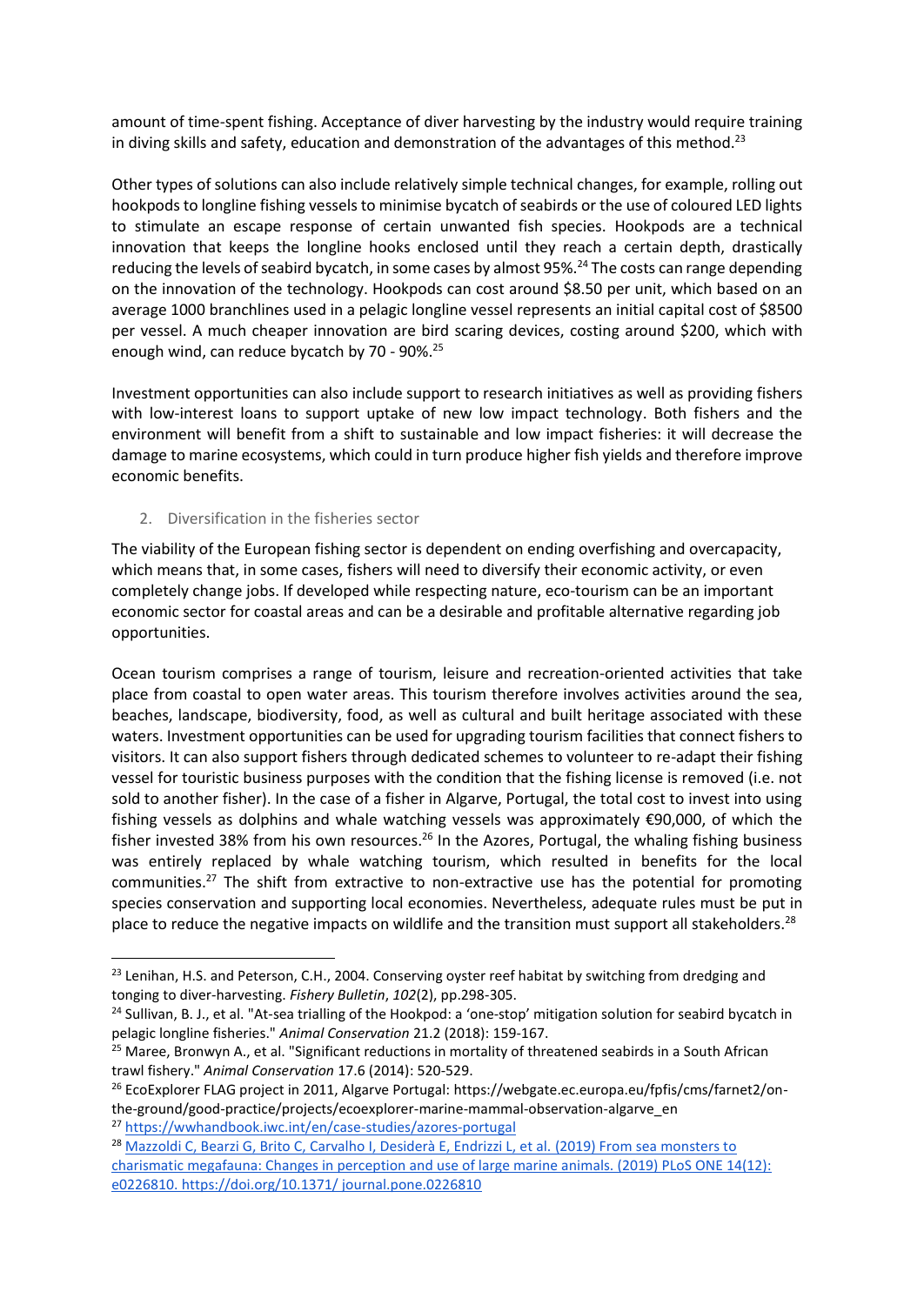amount of time-spent fishing. Acceptance of diver harvesting by the industry would require training in diving skills and safety, education and demonstration of the advantages of this method.<sup>23</sup>

Other types of solutions can also include relatively simple technical changes, for example, rolling out hookpods to longline fishing vessels to minimise bycatch of seabirds or the use of coloured LED lights to stimulate an escape response of certain unwanted fish species. Hookpods are a technical innovation that keeps the longline hooks enclosed until they reach a certain depth, drastically reducing the levels of seabird bycatch, in some cases by almost 95%.<sup>24</sup> The costs can range depending on the innovation of the technology. Hookpods can cost around \$8.50 per unit, which based on an average 1000 branchlines used in a pelagic longline vessel represents an initial capital cost of \$8500 per vessel. A much cheaper innovation are bird scaring devices, costing around \$200, which with enough wind, can reduce bycatch by 70 - 90%.<sup>25</sup>

Investment opportunities can also include support to research initiatives as well as providing fishers with low-interest loans to support uptake of new low impact technology. Both fishers and the environment will benefit from a shift to sustainable and low impact fisheries: it will decrease the damage to marine ecosystems, which could in turn produce higher fish yields and therefore improve economic benefits.

#### 2. Diversification in the fisheries sector

The viability of the European fishing sector is dependent on ending overfishing and overcapacity, which means that, in some cases, fishers will need to diversify their economic activity, or even completely change jobs. If developed while respecting nature, eco-tourism can be an important economic sector for coastal areas and can be a desirable and profitable alternative regarding job opportunities.

Ocean tourism comprises a range of tourism, leisure and recreation-oriented activities that take place from coastal to open water areas. This tourism therefore involves activities around the sea, beaches, landscape, biodiversity, food, as well as cultural and built heritage associated with these waters. Investment opportunities can be used for upgrading tourism facilities that connect fishers to visitors. It can also support fishers through dedicated schemes to volunteer to re-adapt their fishing vessel for touristic business purposes with the condition that the fishing license is removed (i.e. not sold to another fisher). In the case of a fisher in Algarve, Portugal, the total cost to invest into using fishing vessels as dolphins and whale watching vessels was approximately €90,000, of which the fisher invested 38% from his own resources.<sup>26</sup> In the Azores, Portugal, the whaling fishing business was entirely replaced by whale watching tourism, which resulted in benefits for the local communities.<sup>27</sup> The shift from extractive to non-extractive use has the potential for promoting species conservation and supporting local economies. Nevertheless, adequate rules must be put in place to reduce the negative impacts on wildlife and the transition must support all stakeholders.<sup>28</sup>

<sup>&</sup>lt;sup>23</sup> Lenihan, H.S. and Peterson, C.H., 2004. Conserving oyster reef habitat by switching from dredging and tonging to diver-harvesting. *Fishery Bulletin*, *102*(2), pp.298-305.

 $24$  Sullivan, B. J., et al. "At-sea trialling of the Hookpod: a 'one-stop' mitigation solution for seabird bycatch in pelagic longline fisheries." *Animal Conservation* 21.2 (2018): 159-167.

<sup>&</sup>lt;sup>25</sup> Maree, Bronwyn A., et al. "Significant reductions in mortality of threatened seabirds in a South African trawl fishery." *Animal Conservation* 17.6 (2014): 520-529.

<sup>&</sup>lt;sup>26</sup> EcoExplorer FLAG project in 2011, Algarve Portugal: [https://webgate.ec.europa.eu/fpfis/cms/farnet2/on](https://webgate.ec.europa.eu/fpfis/cms/farnet2/on-the-ground/good-practice/projects/ecoexplorer-marine-mammal-observation-algarve_en)[the-ground/good-practice/projects/ecoexplorer-marine-mammal-observation-algarve\\_en](https://webgate.ec.europa.eu/fpfis/cms/farnet2/on-the-ground/good-practice/projects/ecoexplorer-marine-mammal-observation-algarve_en)

<sup>27</sup> <https://wwhandbook.iwc.int/en/case-studies/azores-portugal>

<sup>&</sup>lt;sup>28</sup> Mazzoldi C, Bearzi G, Brito C, Carvalho I, Desiderà E, Endrizzi L, et al. (2019) From sea monsters to charismatic megafauna: Changes in perception and use of large marine animals. (2019) PLoS ONE 14(12): e0226810.<https://doi.org/10.1371/> journal.pone.0226810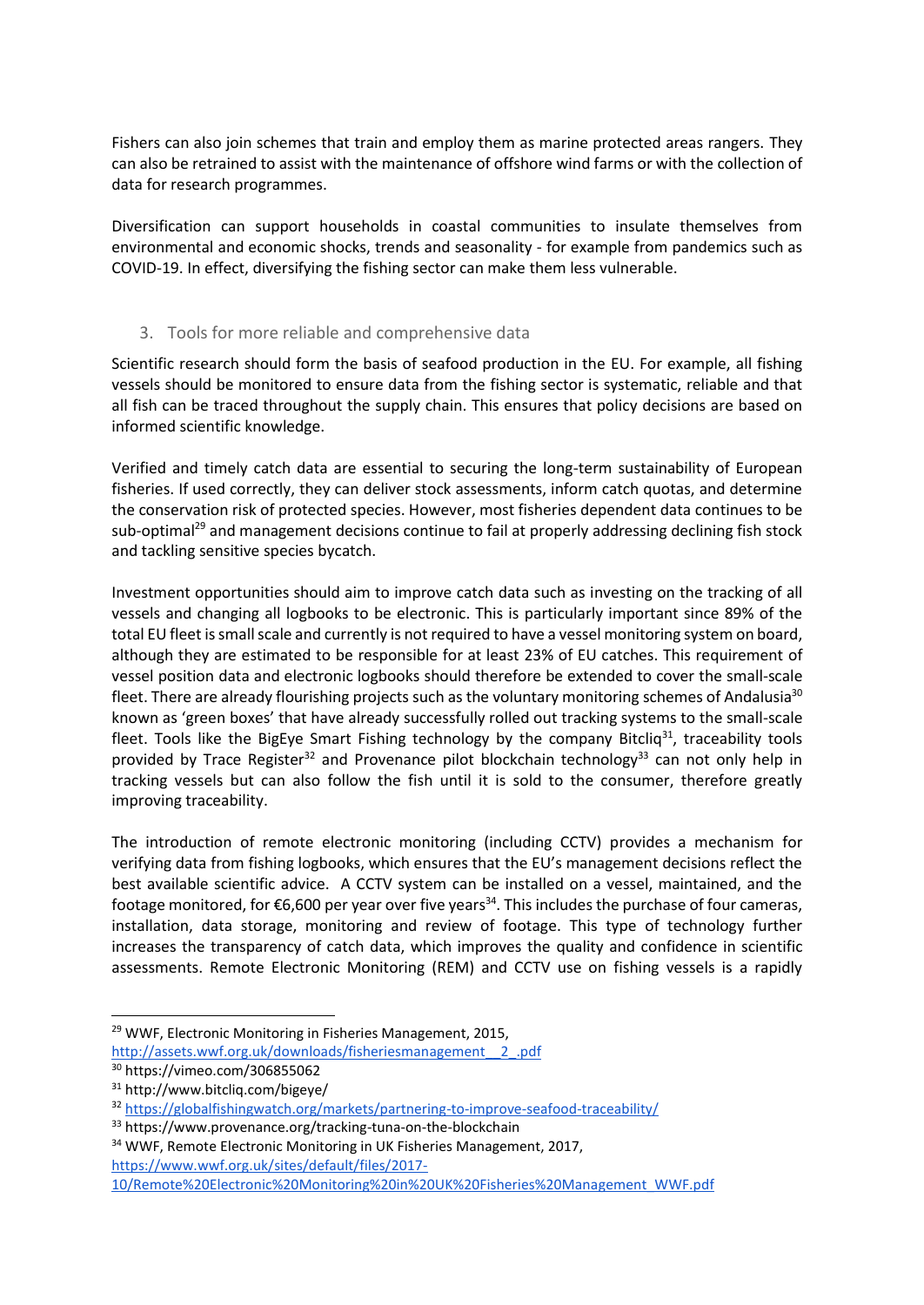Fishers can also join schemes that train and employ them as marine protected areas rangers. They can also be retrained to assist with the maintenance of offshore wind farms or with the collection of data for research programmes.

Diversification can support households in coastal communities to insulate themselves from environmental and economic shocks, trends and seasonality - for example from pandemics such as COVID-19. In effect, diversifying the fishing sector can make them less vulnerable.

#### 3. Tools for more reliable and comprehensive data

Scientific research should form the basis of seafood production in the EU. For example, all fishing vessels should be monitored to ensure data from the fishing sector is systematic, reliable and that all fish can be traced throughout the supply chain. This ensures that policy decisions are based on informed scientific knowledge.

Verified and timely catch data are essential to securing the long-term sustainability of European fisheries. If used correctly, they can deliver stock assessments, inform catch quotas, and determine the conservation risk of protected species. However, most fisheries dependent data continues to be sub-optimal<sup>29</sup> and management decisions continue to fail at properly addressing declining fish stock and tackling sensitive species bycatch.

Investment opportunities should aim to improve catch data such as investing on the tracking of all vessels and changing all logbooks to be electronic. This is particularly important since 89% of the total EU fleet is small scale and currently is not required to have a vessel monitoring system on board, although they are estimated to be responsible for at least 23% of EU catches. This requirement of vessel position data and electronic logbooks should therefore be extended to cover the small-scale fleet. There are already flourishing projects such as the voluntary monitoring schemes of Andalusia<sup>30</sup> known as 'green boxes' that have already successfully rolled out tracking systems to the small-scale fleet. Tools like the BigEye Smart Fishing technology by the company Bitcliq<sup>31</sup>, traceability tools provided by Trace Register<sup>32</sup> and Provenance pilot blockchain technology<sup>33</sup> can not only help in tracking vessels but can also follow the fish until it is sold to the consumer, therefore greatly improving traceability.

The introduction of remote electronic monitoring (including CCTV) provides a mechanism for verifying data from fishing logbooks, which ensures that the EU's management decisions reflect the best available scientific advice. A CCTV system can be installed on a vessel, maintained, and the footage monitored, for  $\epsilon$ 6,600 per year over five years<sup>34</sup>. This includes the purchase of four cameras, installation, data storage, monitoring and review of footage. This type of technology further increases the transparency of catch data, which improves the quality and confidence in scientific assessments. Remote Electronic Monitoring (REM) and CCTV use on fishing vessels is a rapidly

<sup>&</sup>lt;sup>29</sup> WWF, Electronic Monitoring in Fisheries Management, 2015,

[http://assets.wwf.org.uk/downloads/fisheriesmanagement\\_\\_2\\_.pdf](http://assets.wwf.org.uk/downloads/fisheriesmanagement__2_.pdf)

<sup>30</sup> <https://vimeo.com/306855062>

<sup>31</sup> http://www.bitcliq.com/bigeye/

<sup>32</sup> <https://globalfishingwatch.org/markets/partnering-to-improve-seafood-traceability/>

<sup>33</sup> https://www.provenance.org/tracking-tuna-on-the-blockchain

<sup>&</sup>lt;sup>34</sup> WWF, Remote Electronic Monitoring in UK Fisheries Management, 2017, [https://www.wwf.org.uk/sites/default/files/2017-](https://www.wwf.org.uk/sites/default/files/2017-10/Remote%20Electronic%20Monitoring%20in%20UK%20Fisheries%20Management_WWF.pdf)

[<sup>10/</sup>Remote%20Electronic%20Monitoring%20in%20UK%20Fisheries%20Management\\_WWF.pdf](https://www.wwf.org.uk/sites/default/files/2017-10/Remote%20Electronic%20Monitoring%20in%20UK%20Fisheries%20Management_WWF.pdf)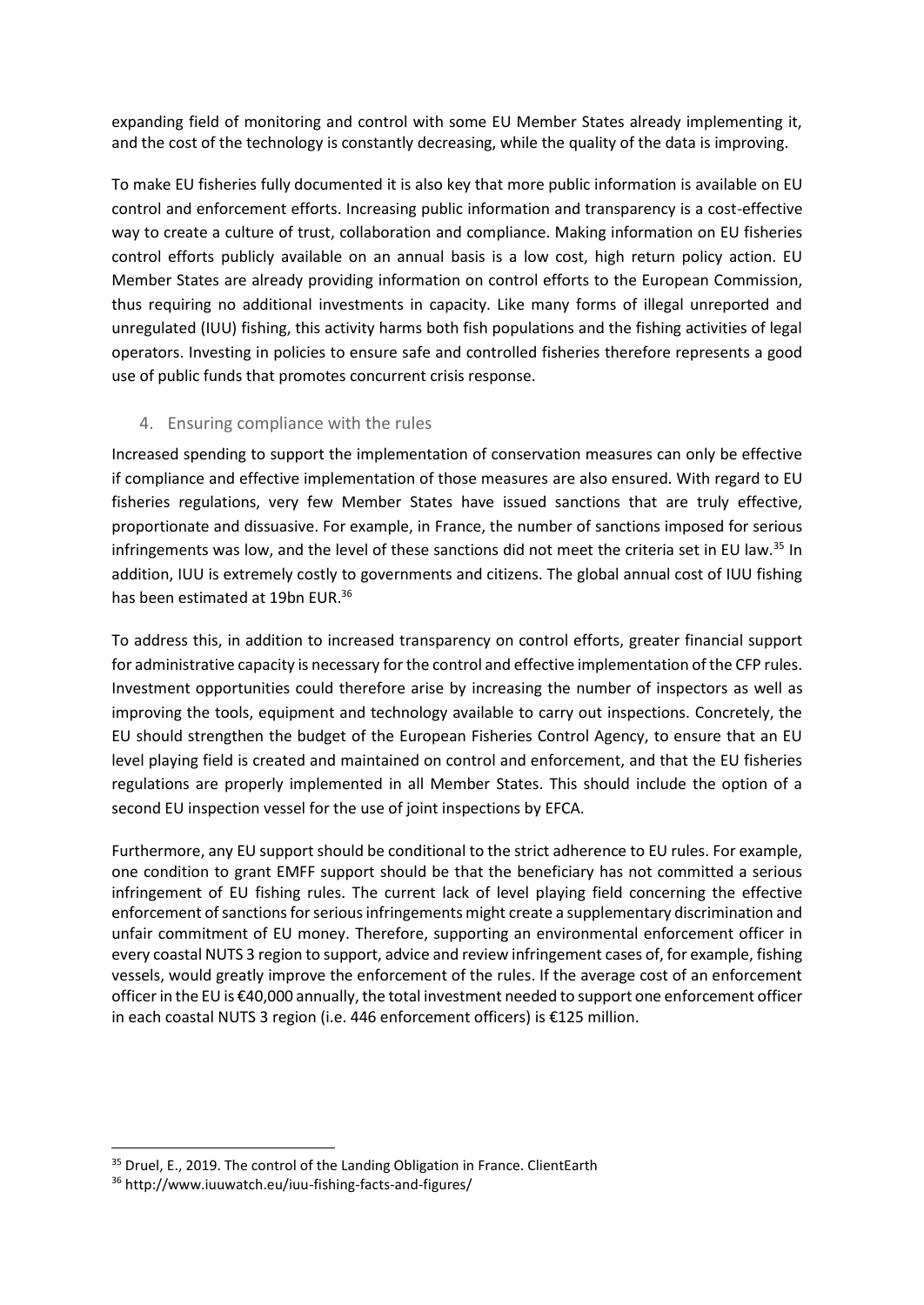expanding field of monitoring and control with some EU Member States already implementing it, and the cost of the technology is constantly decreasing, while the quality of the data is improving.

To make EU fisheries fully documented it is also key that more public information is available on EU control and enforcement efforts. Increasing public information and transparency is a cost-effective way to create a culture of trust, collaboration and compliance. Making information on EU fisheries control efforts publicly available on an annual basis is a low cost, high return policy action. EU Member States are already providing information on control efforts to the European Commission, thus requiring no additional investments in capacity. Like many forms of illegal unreported and unregulated (IUU) fishing, this activity harms both fish populations and the fishing activities of legal operators. Investing in policies to ensure safe and controlled fisheries therefore represents a good use of public funds that promotes concurrent crisis response.

#### 4. Ensuring compliance with the rules

Increased spending to support the implementation of conservation measures can only be effective if compliance and effective implementation of those measures are also ensured. With regard to EU fisheries regulations, very few Member States have issued sanctions that are truly effective, proportionate and dissuasive. For example, in France, the number of sanctions imposed for serious infringements was low, and the level of these sanctions did not meet the criteria set in EU law.<sup>35</sup> In addition, IUU is extremely costly to governments and citizens. The global annual cost of IUU fishing has been estimated at 19bn EUR.<sup>36</sup>

To address this, in addition to increased transparency on control efforts, greater financial support for administrative capacity is necessary for the control and effective implementation of the CFP rules. Investment opportunities could therefore arise by increasing the number of inspectors as well as improving the tools, equipment and technology available to carry out inspections. Concretely, the EU should strengthen the budget of the European Fisheries Control Agency, to ensure that an EU level playing field is created and maintained on control and enforcement, and that the EU fisheries regulations are properly implemented in all Member States. This should include the option of a second EU inspection vessel for the use of joint inspections by EFCA.

Furthermore, any EU support should be conditional to the strict adherence to EU rules. For example, one condition to grant EMFF support should be that the beneficiary has not committed a serious infringement of EU fishing rules. The current lack of level playing field concerning the effective enforcement of sanctions for serious infringements might create a supplementary discrimination and unfair commitment of EU money. Therefore, supporting an environmental enforcement officer in every coastal NUTS 3 region to support, advice and review infringement cases of, for example, fishing vessels, would greatly improve the enforcement of the rules. If the average cost of an enforcement officer in the EU is €40,000 annually, the total investment needed to support one enforcement officer in each coastal NUTS 3 region (i.e. 446 enforcement officers) is €125 million.

 $35$  Druel, E., 2019. The control of the Landing Obligation in France. ClientEarth

<sup>36</sup> http://www.iuuwatch.eu/iuu-fishing-facts-and-figures/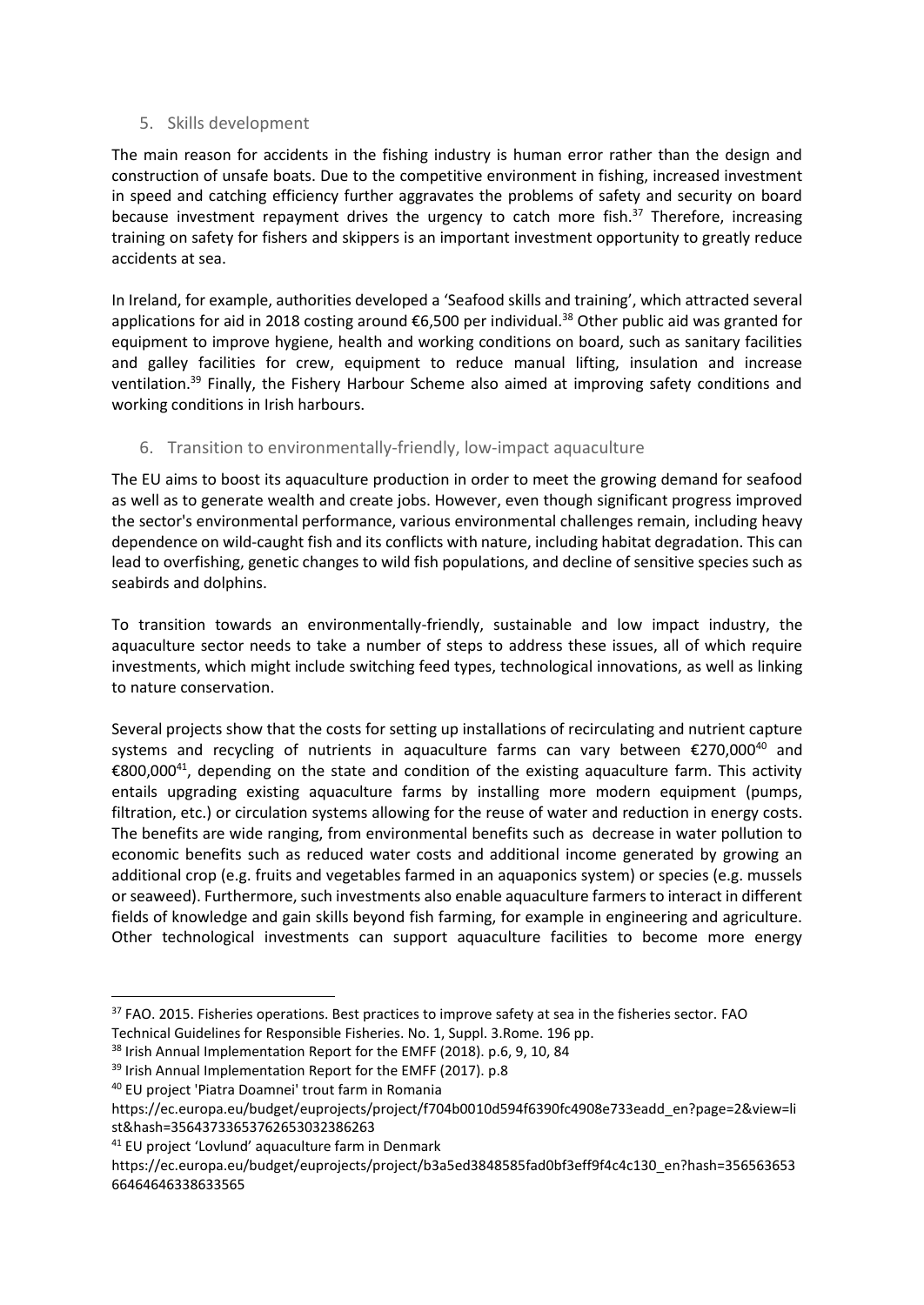#### 5. Skills development

The main reason for accidents in the fishing industry is human error rather than the design and construction of unsafe boats. Due to the competitive environment in fishing, increased investment in speed and catching efficiency further aggravates the problems of safety and security on board because investment repayment drives the urgency to catch more fish. $37$  Therefore, increasing training on safety for fishers and skippers is an important investment opportunity to greatly reduce accidents at sea.

In Ireland, for example, authorities developed a 'Seafood skills and training', which attracted several applications for aid in 2018 costing around €6,500 per individual.<sup>38</sup> Other public aid was granted for equipment to improve hygiene, health and working conditions on board, such as sanitary facilities and galley facilities for crew, equipment to reduce manual lifting, insulation and increase ventilation.<sup>39</sup> Finally, the Fishery Harbour Scheme also aimed at improving safety conditions and working conditions in Irish harbours.

#### 6. Transition to environmentally-friendly, low-impact aquacultur[e](https://seasatrisk.sharepoint.com/Documents%20partages/Policy/Horizontal%20&%20Cross-cutting%20issues/1-%20Covid%2019/green%20recovery%20paper/Saving%20the%20oceans%20in%20a%20recovery%20from%20COVID%20-%20detailed%20outline%20for%20SAR%20contribution.docx#_msocom_6)

The EU aims to boost its aquaculture production in order to meet the growing demand for seafood as well as to generate wealth and create jobs. However, even though significant progress improved the sector's environmental performance, various environmental challenges remain, including heavy dependence on wild-caught fish and its conflicts with nature, including habitat degradation. This can lead to overfishing, genetic changes to wild fish populations, and decline of sensitive species such as seabirds and dolphins.

To transition towards an environmentally-friendly, sustainable and low impact industry, the aquaculture sector needs to take a number of steps to address these issues, all of which require investments, which might include switching feed types, technological innovations, as well as linking to nature conservation.

Several projects show that the costs for setting up installations of recirculating and nutrient capture systems and recycling of nutrients in aquaculture farms can vary between  $\epsilon$ 270,000<sup>40</sup> and €800,000<sup>41</sup>, depending on the state and condition of the existing aquaculture farm. This activity entails upgrading existing aquaculture farms by installing more modern equipment (pumps, filtration, etc.) or circulation systems allowing for the reuse of water and reduction in energy costs. The benefits are wide ranging, from environmental benefits such as decrease in water pollution to economic benefits such as reduced water costs and additional income generated by growing an additional crop (e.g. fruits and vegetables farmed in an aquaponics system) or species (e.g. mussels or seaweed). Furthermore, such investments also enable aquaculture farmers to interact in different fields of knowledge and gain skills beyond fish farming, for example in engineering and agriculture. Other technological investments can support aquaculture facilities to become more energy

-

<sup>41</sup> EU project 'Lovlund' aquaculture farm in Denmark

<sup>&</sup>lt;sup>37</sup> FAO. 2015. Fisheries operations. Best practices to improve safety at sea in the fisheries sector. FAO Technical Guidelines for Responsible Fisheries. No. 1, Suppl. 3.Rome. 196 pp.

<sup>&</sup>lt;sup>38</sup> Irish Annual Implementation Report for the EMFF (2018). p.6, 9, 10, 84

<sup>&</sup>lt;sup>39</sup> Irish Annual Implementation Report for the EMFF (2017). p.8

<sup>40</sup> EU project 'Piatra Doamnei' trout farm in Romania

[https://ec.europa.eu/budget/euprojects/project/f704b0010d594f6390fc4908e733eadd\\_en?page=2&view=li](https://ec.europa.eu/budget/euprojects/project/f704b0010d594f6390fc4908e733eadd_en?page=2&view=list&hash=35643733653762653032386263) [st&hash=35643733653762653032386263](https://ec.europa.eu/budget/euprojects/project/f704b0010d594f6390fc4908e733eadd_en?page=2&view=list&hash=35643733653762653032386263)

https://ec.europa.eu/budget/euprojects/project/b3a5ed3848585fad0bf3eff9f4c4c130\_en?hash=356563653 66464646338633565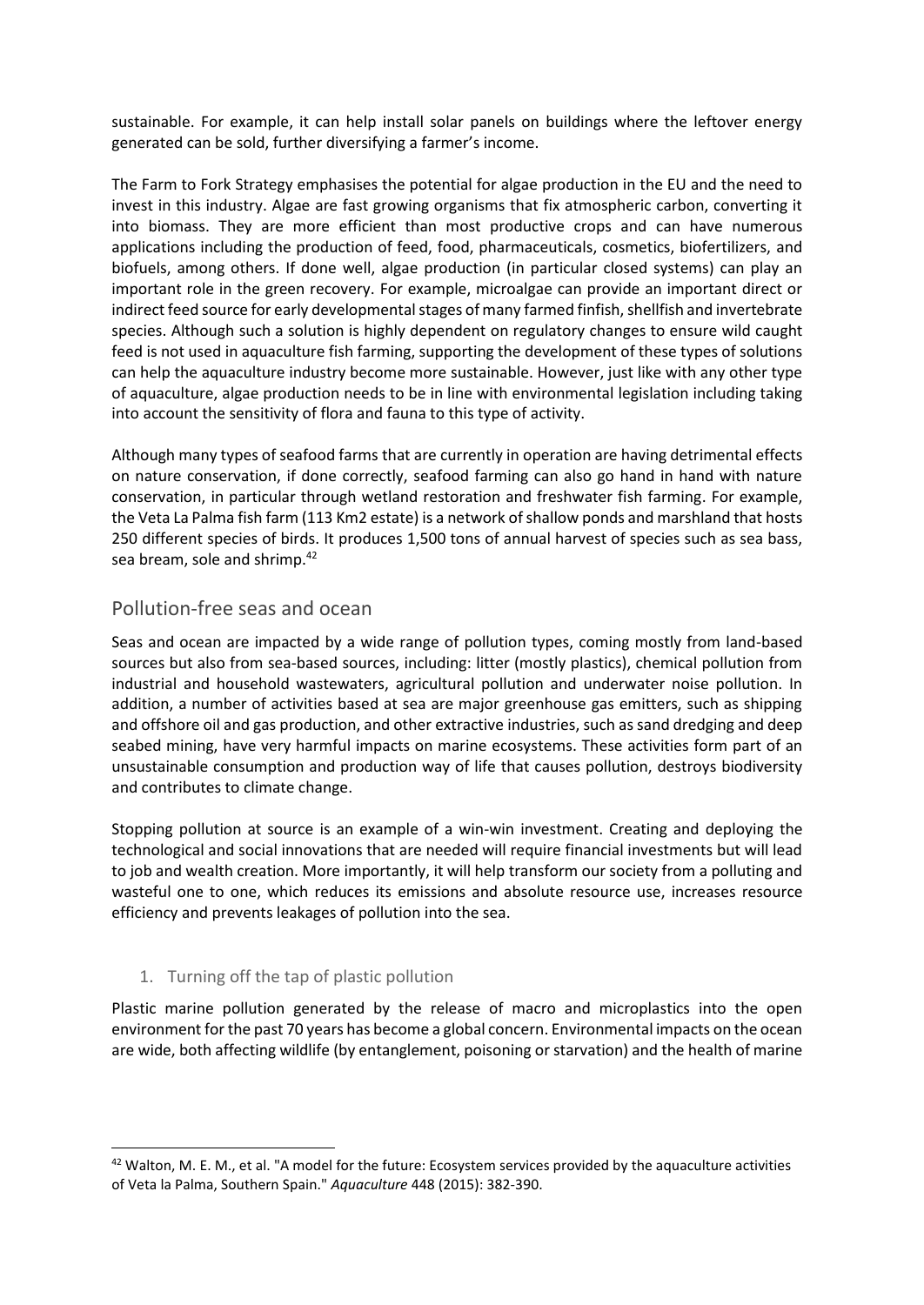sustainable. For example, it can help install solar panels on buildings where the leftover energy generated can be sold, further diversifying a farmer's income.

The Farm to Fork Strategy emphasises the potential for algae production in the EU and the need to invest in this industry. Algae are fast growing organisms that fix atmospheric carbon, converting it into biomass. They are more efficient than most productive crops and can have numerous applications including the production of feed, food, pharmaceuticals, cosmetics, biofertilizers, and biofuels, among others. If done well, algae production (in particular closed systems) can play an important role in the green recovery. For example, microalgae can provide an important direct or indirect feed source for early developmental stages of many farmed finfish, shellfish and invertebrate species. Although such a solution is highly dependent on regulatory changes to ensure wild caught feed is not used in aquaculture fish farming, supporting the development of these types of solutions can help the aquaculture industry become more sustainable. However, just like with any other type of aquaculture, algae production needs to be in line with environmental legislation including taking into account the sensitivity of flora and fauna to this type of activity.

Although many types of seafood farms that are currently in operation are having detrimental effects on nature conservation, if done correctly, seafood farming can also go hand in hand with nature conservation, in particular through wetland restoration and freshwater fish farming. For example, the Veta La Palma fish farm (113 Km2 estate) is a network of shallow ponds and marshland that hosts 250 different species of birds. It produces 1,500 tons of annual harvest of species such as sea bass, sea bream, sole and shrimp.<sup>42</sup>

### Pollution-free seas and ocean

Seas and ocean are impacted by a wide range of pollution types, coming mostly from land-based sources but also from sea-based sources, including: litter (mostly plastics), chemical pollution from industrial and household wastewaters, agricultural pollution and underwater noise pollution. In addition, a number of activities based at sea are major greenhouse gas emitters, such as shipping and offshore oil and gas production, and other extractive industries, such as sand dredging and deep seabed mining, have very harmful impacts on marine ecosystems. These activities form part of an unsustainable consumption and production way of life that causes pollution, destroys biodiversity and contributes to climate change.

Stopping pollution at source is an example of a win-win investment. Creating and deploying the technological and social innovations that are needed will require financial investments but will lead to job and wealth creation. More importantly, it will help transform our society from a polluting and wasteful one to one, which reduces its emissions and absolute resource use, increases resource efficiency and prevents leakages of pollution into the sea.

#### 1. Turning off the tap of plastic pollution

-

Plastic marine pollution generated by the release of macro and microplastics into the open environment for the past 70 years has become a global concern. Environmental impacts on the ocean are wide, both affecting wildlife (by entanglement, poisoning or starvation) and the health of marine

 $42$  Walton, M. E. M., et al. "A model for the future: Ecosystem services provided by the aquaculture activities of Veta la Palma, Southern Spain." *Aquaculture* 448 (2015): 382-390.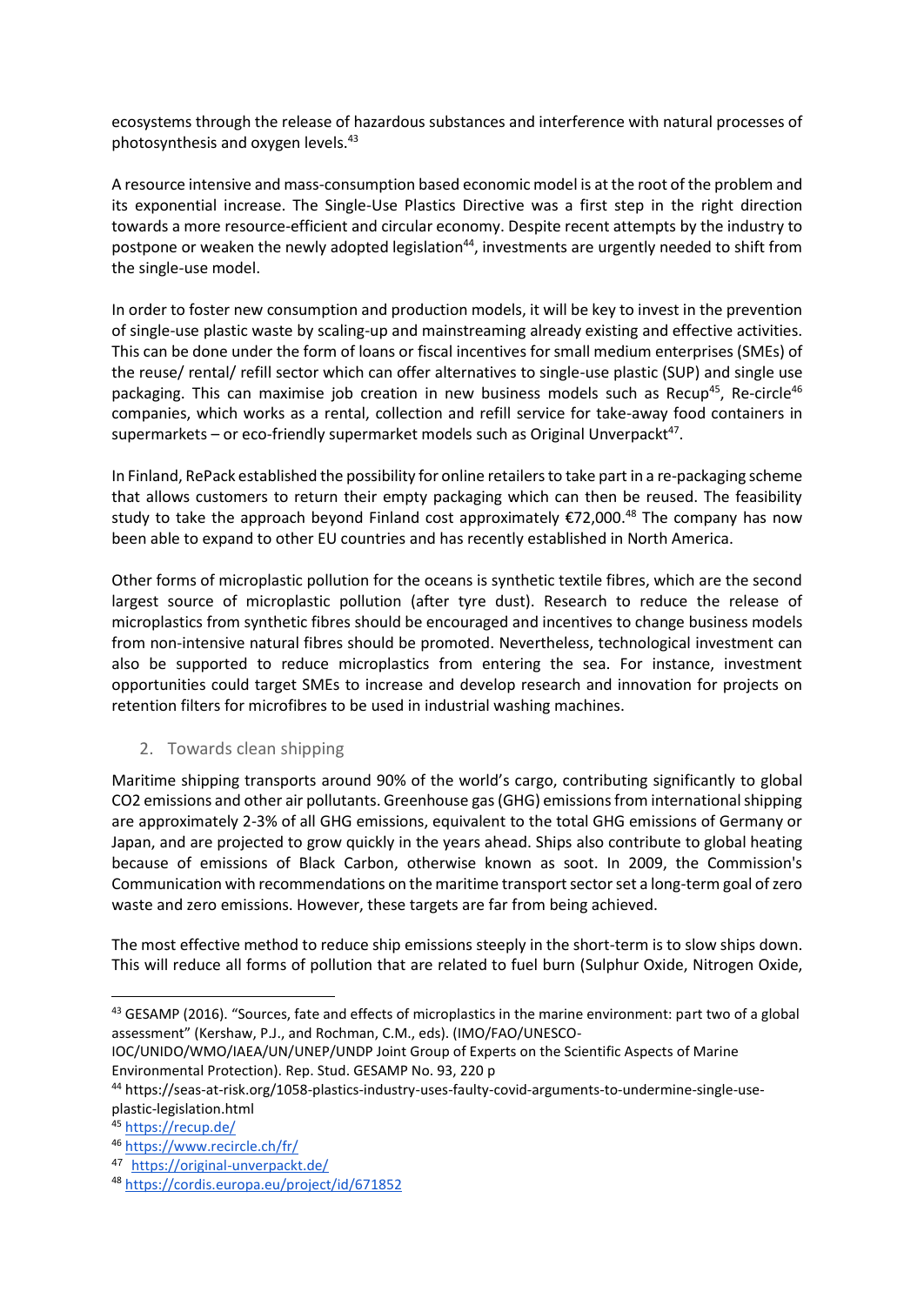ecosystems through the release of hazardous substances and interference with natural processes of photosynthesis and oxygen levels.<sup>43</sup>

A resource intensive and mass-consumption based economic model is at the root of the problem and its exponential increase. The Single-Use Plastics Directive was a first step in the right direction towards a more resource-efficient and circular economy. Despite recent attempts by the industry to postpone or weaken the newly adopted legislation<sup>44</sup>, investments are urgently needed to shift from the single-use model.

In order to foster new consumption and production models, it will be key to invest in the prevention of single-use plastic waste by scaling-up and mainstreaming already existing and effective activities. This can be done under the form of loans or fiscal incentives for small medium enterprises (SMEs) of the reuse/ rental/ refill sector which can offer alternatives to single-use plastic (SUP) and single use packaging. This can maximise job creation in new business models such as Recup<sup>45</sup>, Re-circle<sup>46</sup> companies, which works as a rental, collection and refill service for take-away food containers in  $supermarkets - or eco-friendly supermarket models such as Original Unverpack<sup>47</sup>.$ 

In Finland, RePack established the possibility for online retailers to take part in a re-packaging scheme that allows customers to return their empty packaging which can then be reused. The feasibility study to take the approach beyond Finland cost approximately  $\epsilon$ 72,000.<sup>48</sup> The company has now been able to expand to other EU countries and has recently established in North America.

Other forms of microplastic pollution for the oceans is synthetic textile fibres, which are the second largest source of microplastic pollution (after tyre dust). Research to reduce the release of microplastics from synthetic fibres should be encouraged and incentives to change business models from non-intensive natural fibres should be promoted. Nevertheless, technological investment can also be supported to reduce microplastics from entering the sea. For instance, investment opportunities could target SMEs to increase and develop research and innovation for projects on retention filters for microfibres to be used in industrial washing machines.

#### 2. Towards clean shipping

Maritime shipping transports around 90% of the world's cargo, contributing significantly to global CO2 emissions and other air pollutants. Greenhouse gas (GHG) emissions from international shipping are approximately 2-3% of all GHG emissions, equivalent to the total GHG emissions of Germany or Japan, and are projected to grow quickly in the years ahead. Ships also contribute to global heating because of emissions of Black Carbon, otherwise known as soot. In 2009, the Commission's Communication with recommendations on the maritime transport sector set a long-term goal of zero waste and zero emissions. However, these targets are far from being achieved.

The most effective method to reduce ship emissions steeply in the short-term is to slow ships down. This will reduce all forms of pollution that are related to fuel burn (Sulphur Oxide, Nitrogen Oxide,

IOC/UNIDO/WMO/IAEA/UN/UNEP/UNDP Joint Group of Experts on the Scientific Aspects of Marine Environmental Protection). Rep. Stud. GESAMP No. 93, 220 p

<sup>44</sup> https://seas-at-risk.org/1058-plastics-industry-uses-faulty-covid-arguments-to-undermine-single-useplastic-legislation.html

<sup>45</sup> <https://recup.de/>

<sup>&</sup>lt;sup>43</sup> GESAMP (2016). "Sources, fate and effects of microplastics in the marine environment: part two of a global assessment" (Kershaw, P.J., and Rochman, C.M., eds). (IMO/FAO/UNESCO-

<sup>46</sup> <https://www.recircle.ch/fr/>

<sup>47</sup> <https://original-unverpackt.de/>

<sup>48</sup> <https://cordis.europa.eu/project/id/671852>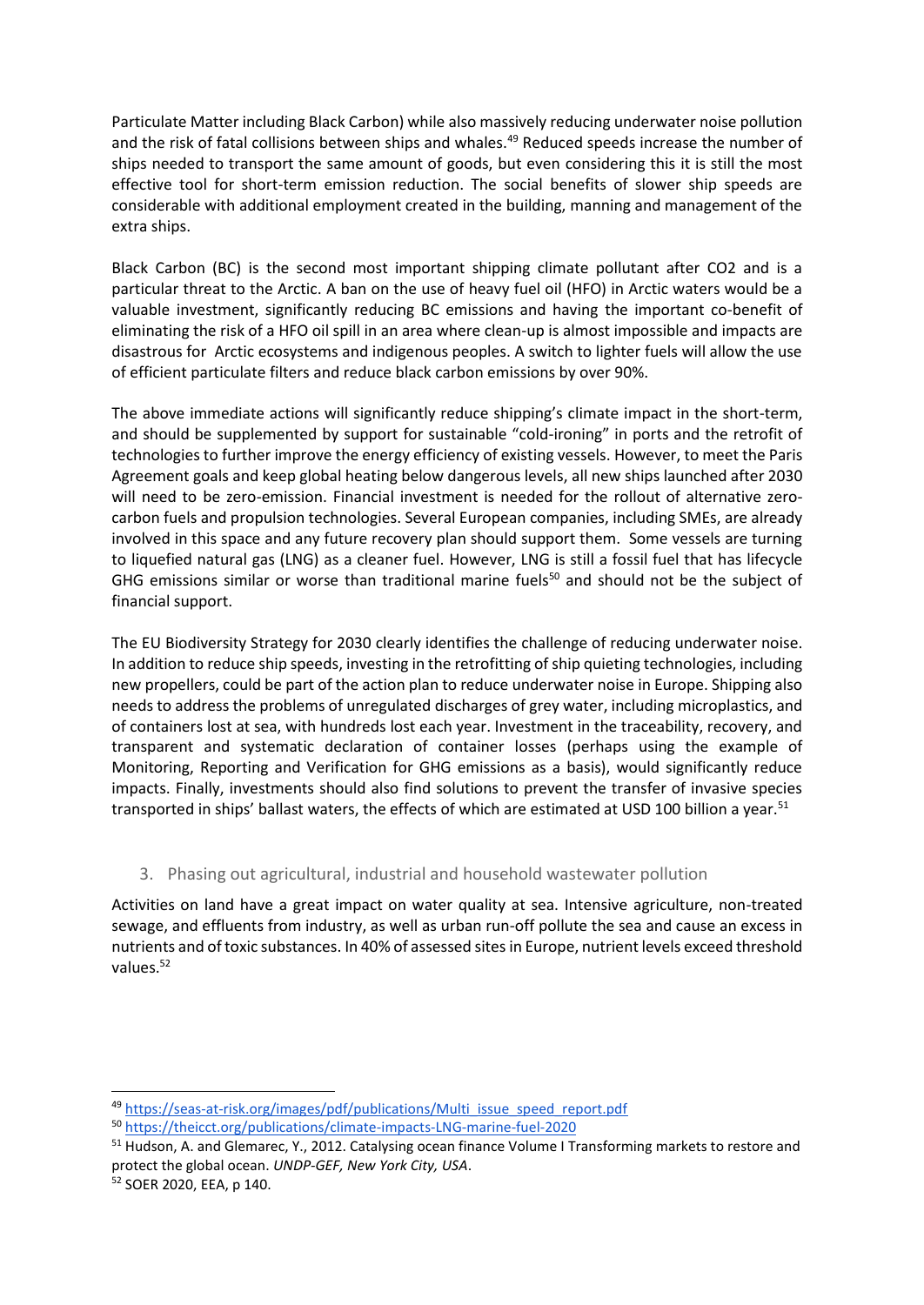Particulate Matter including Black Carbon) while also massively reducing underwater noise pollution and the risk of fatal collisions between ships and whales.<sup>49</sup> Reduced speeds increase the number of ships needed to transport the same amount of goods, but even considering this it is still the most effective tool for short-term emission reduction. The social benefits of slower ship speeds are considerable with additional employment created in the building, manning and management of the extra ships.

Black Carbon (BC) is the second most important shipping climate pollutant after CO2 and is a particular threat to the Arctic. A ban on the use of heavy fuel oil (HFO) in Arctic waters would be a valuable investment, significantly reducing BC emissions and having the important co-benefit of eliminating the risk of a HFO oil spill in an area where clean-up is almost impossible and impacts are disastrous for Arctic ecosystems and indigenous peoples. A switch to lighter fuels will allow the use of efficient particulate filters and reduce black carbon emissions by over 90%.

The above immediate actions will significantly reduce shipping's climate impact in the short-term, and should be supplemented by support for sustainable "cold-ironing" in ports and the retrofit of technologies to further improve the energy efficiency of existing vessels. However, to meet the Paris Agreement goals and keep global heating below dangerous levels, all new ships launched after 2030 will need to be zero-emission. Financial investment is needed for the rollout of alternative zerocarbon fuels and propulsion technologies. Several European companies, including SMEs, are already involved in this space and any future recovery plan should support them. Some vessels are turning to liquefied natural gas (LNG) as a cleaner fuel. However, LNG is still a fossil fuel that has lifecycle GHG emissions similar or worse than traditional marine fuels<sup>50</sup> and should not be the subject of financial support.

The EU Biodiversity Strategy for 2030 clearly identifies the challenge of reducing underwater noise. In addition to reduce ship speeds, investing in the retrofitting of ship quieting technologies, including new propellers, could be part of the action plan to reduce underwater noise in Europe. Shipping also needs to address the problems of unregulated discharges of grey water, including microplastics, and of containers lost at sea, with hundreds lost each year. Investment in the traceability, recovery, and transparent and systematic declaration of container losses (perhaps using the example of Monitoring, Reporting and Verification for GHG emissions as a basis), would significantly reduce impacts. Finally, investments should also find solutions to prevent the transfer of invasive species transported in ships' ballast waters, the effects of which are estimated at USD 100 billion a year.<sup>51</sup>

#### 3. Phasing out agricultural, industrial and household wastewater pollution

Activities on land have a great impact on water quality at sea. Intensive agriculture, non-treated sewage, and effluents from industry, as well as urban run-off pollute the sea and cause an excess in nutrients and of toxic substances. In 40% of assessed sites in Europe, nutrient levels exceed threshold values.<sup>52</sup>

<sup>49</sup> [https://seas-at-risk.org/images/pdf/publications/Multi\\_issue\\_speed\\_report.pdf](https://seas-at-risk.org/images/pdf/publications/Multi_issue_speed_report.pdf)

<sup>50</sup> <https://theicct.org/publications/climate-impacts-LNG-marine-fuel-2020>

<sup>51</sup> Hudson, A. and Glemarec, Y., 2012. Catalysing ocean finance Volume I Transforming markets to restore and protect the global ocean. *UNDP-GEF, New York City, USA*.

<sup>52</sup> SOER 2020, EEA, p 140.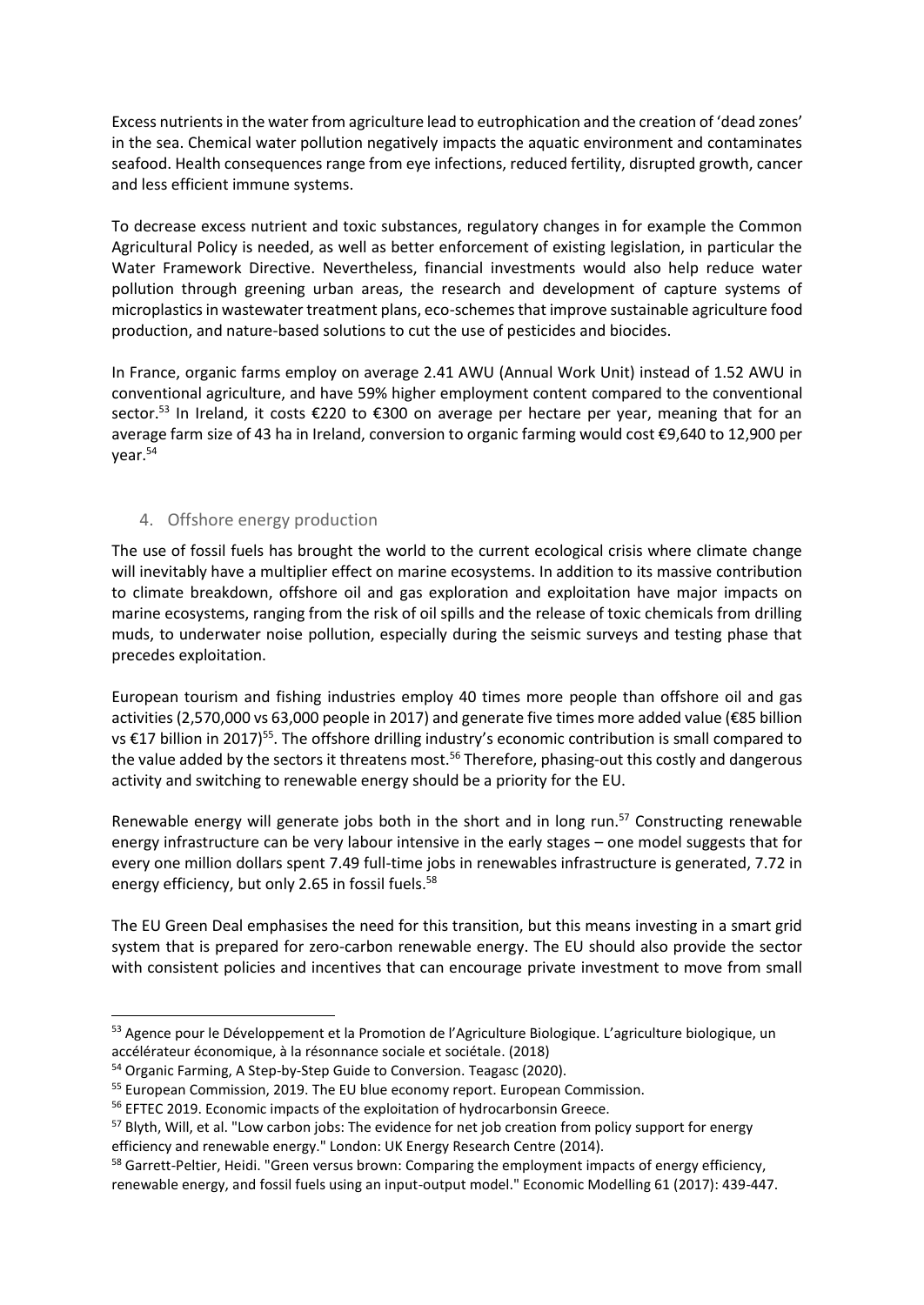Excess nutrients in the water from agriculture lead to eutrophication and the creation of 'dead zones' in the sea. Chemical water pollution negatively impacts the aquatic environment and contaminates seafood. Health consequences range from eye infections, reduced fertility, disrupted growth, cancer and less efficient immune systems.

To decrease excess nutrient and toxic substances, regulatory changes in for example the Common Agricultural Policy is needed, as well as better enforcement of existing legislation, in particular the Water Framework Directive. Nevertheless, financial investments would also help reduce water pollution through greening urban areas, the research and development of capture systems of microplastics in wastewater treatment plans, eco-schemes that improve sustainable agriculture food production, and nature-based solutions to cut the use of pesticides and biocides.

In France, organic farms employ on average 2.41 AWU (Annual Work Unit) instead of 1.52 AWU in conventional agriculture, and have 59% higher employment content compared to the conventional sector.<sup>53</sup> In Ireland, it costs €220 to €300 on average per hectare per year, meaning that for an average farm size of 43 ha in Ireland, conversion to organic farming would cost €9,640 to 12,900 per year.<sup>54</sup>

#### 4. Offshore energy production

The use of fossil fuels has brought the world to the current ecological crisis where climate change will inevitably have a multiplier effect on marine ecosystems. In addition to its massive contribution to climate breakdown, offshore oil and gas exploration and exploitation have major impacts on marine ecosystems, ranging from the risk of oil spills and the release of toxic chemicals from drilling muds, to underwater noise pollution, especially during the seismic surveys and testing phase that precedes exploitation.

European tourism and fishing industries employ 40 times more people than offshore oil and gas activities (2,570,000 vs 63,000 people in 2017) and generate five times more added value (€85 billion vs €17 billion in 2017)<sup>55</sup>. The offshore drilling industry's economic contribution is small compared to the value added by the sectors it threatens most.<sup>56</sup> Therefore, phasing-out this costly and dangerous activity and switching to renewable energy should be a priority for the EU.

Renewable energy will generate jobs both in the short and in long run.<sup>57</sup> Constructing renewable energy infrastructure can be very labour intensive in the early stages – one model suggests that for every one million dollars spent 7.49 full-time jobs in renewables infrastructure is generated, 7.72 in energy efficiency, but only 2.65 in fossil fuels.<sup>58</sup>

The EU Green Deal emphasises the need for this transition, but this means investing in a smart grid system that is prepared for zero-carbon renewable energy. The EU should also provide the sector with consistent policies and incentives that can encourage private investment to move from small

<sup>&</sup>lt;sup>53</sup> Agence pour le Développement et la Promotion de l'Agriculture Biologique. L'agriculture biologique, un accélérateur économique, à la résonnance sociale et sociétale. (2018)

<sup>&</sup>lt;sup>54</sup> Organic Farming, A Step-by-Step Guide to Conversion. Teagasc (2020).

<sup>&</sup>lt;sup>55</sup> European Commission, 2019. The EU blue economy report. European Commission.

<sup>56</sup> EFTEC 2019. Economic impacts of the exploitation of hydrocarbonsin Greece.

<sup>&</sup>lt;sup>57</sup> Blyth, Will, et al. "Low carbon jobs: The evidence for net job creation from policy support for energy efficiency and renewable energy." London: UK Energy Research Centre (2014).

<sup>&</sup>lt;sup>58</sup> Garrett-Peltier, Heidi. "Green versus brown: Comparing the employment impacts of energy efficiency, renewable energy, and fossil fuels using an input-output model." Economic Modelling 61 (2017): 439-447.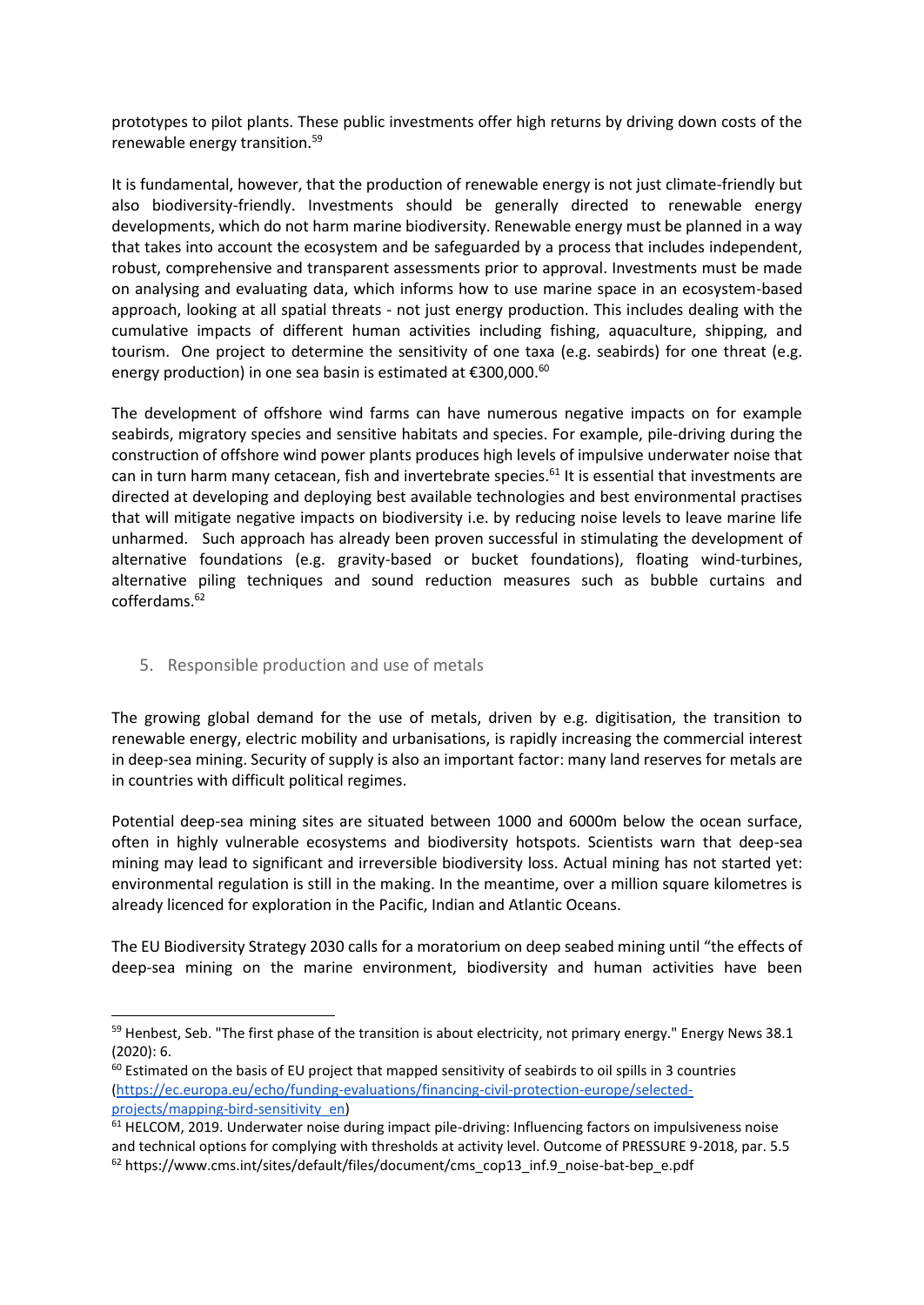prototypes to pilot plants. These public investments offer high returns by driving down costs of the renewable energy transition.<sup>59</sup>

It is fundamental, however, that the production of renewable energy is not just climate-friendly but also biodiversity-friendly. Investments should be generally directed to renewable energy developments, which do not harm marine biodiversity. Renewable energy must be planned in a way that takes into account the ecosystem and be safeguarded by a process that includes independent, robust, comprehensive and transparent assessments prior to approval. Investments must be made on analysing and evaluating data, which informs how to use marine space in an ecosystem-based approach, looking at all spatial threats - not just energy production. This includes dealing with the cumulative impacts of different human activities including fishing, aquaculture, shipping, and tourism. One project to determine the sensitivity of one taxa (e.g. seabirds) for one threat (e.g. energy production) in one sea basin is estimated at €300,000.<sup>60</sup>

The development of offshore wind farms can have numerous negative impacts on for example seabirds, migratory species and sensitive habitats and species. For example, pile-driving during the construction of offshore wind power plants produces high levels of impulsive underwater noise that can in turn harm many cetacean, fish and invertebrate species.<sup>61</sup> It is essential that investments are directed at developing and deploying best available technologies and best environmental practises that will mitigate negative impacts on biodiversity i.e. by reducing noise levels to leave marine life unharmed. Such approach has already been proven successful in stimulating the development of alternative foundations (e.g. gravity-based or bucket foundations), floating wind-turbines, alternative piling techniques and sound reduction measures such as bubble curtains and cofferdams.<sup>62</sup>

#### 5. Responsible production and use of metals

-

The growing global demand for the use of metals, driven by e.g. digitisation, the transition to renewable energy, electric mobility and urbanisations, is rapidly increasing the commercial interest in deep-sea mining. Security of supply is also an important factor: many land reserves for metals are in countries with difficult political regimes.

Potential deep-sea mining sites are situated between 1000 and 6000m below the ocean surface, often in highly vulnerable ecosystems and biodiversity hotspots. Scientists warn that deep-sea mining may lead to significant and irreversible biodiversity loss. Actual mining has not started yet: environmental regulation is still in the making. In the meantime, over a million square kilometres is already licenced for exploration in the Pacific, Indian and Atlantic Oceans.

The EU Biodiversity Strategy 2030 calls for a moratorium on deep seabed mining until "the effects of deep-sea mining on the marine environment, biodiversity and human activities have been

 $59$  Henbest, Seb. "The first phase of the transition is about electricity, not primary energy." Energy News 38.1 (2020): 6.

<sup>&</sup>lt;sup>60</sup> Estimated on the basis of EU project that mapped sensitivity of seabirds to oil spills in 3 countries [\(https://ec.europa.eu/echo/funding-evaluations/financing-civil-protection-europe/selected](https://ec.europa.eu/echo/funding-evaluations/financing-civil-protection-europe/selected-projects/mapping-bird-sensitivity_en)[projects/mapping-bird-sensitivity\\_en\)](https://ec.europa.eu/echo/funding-evaluations/financing-civil-protection-europe/selected-projects/mapping-bird-sensitivity_en)

<sup>&</sup>lt;sup>61</sup> HELCOM, 2019. Underwater noise during impact pile-driving: Influencing factors on impulsiveness noise and technical options for complying with thresholds at activity level. Outcome of PRESSURE 9-2018, par. 5.5  $62$  https://www.cms.int/sites/default/files/document/cms\_cop13\_inf.9\_noise-bat-bep\_e.pdf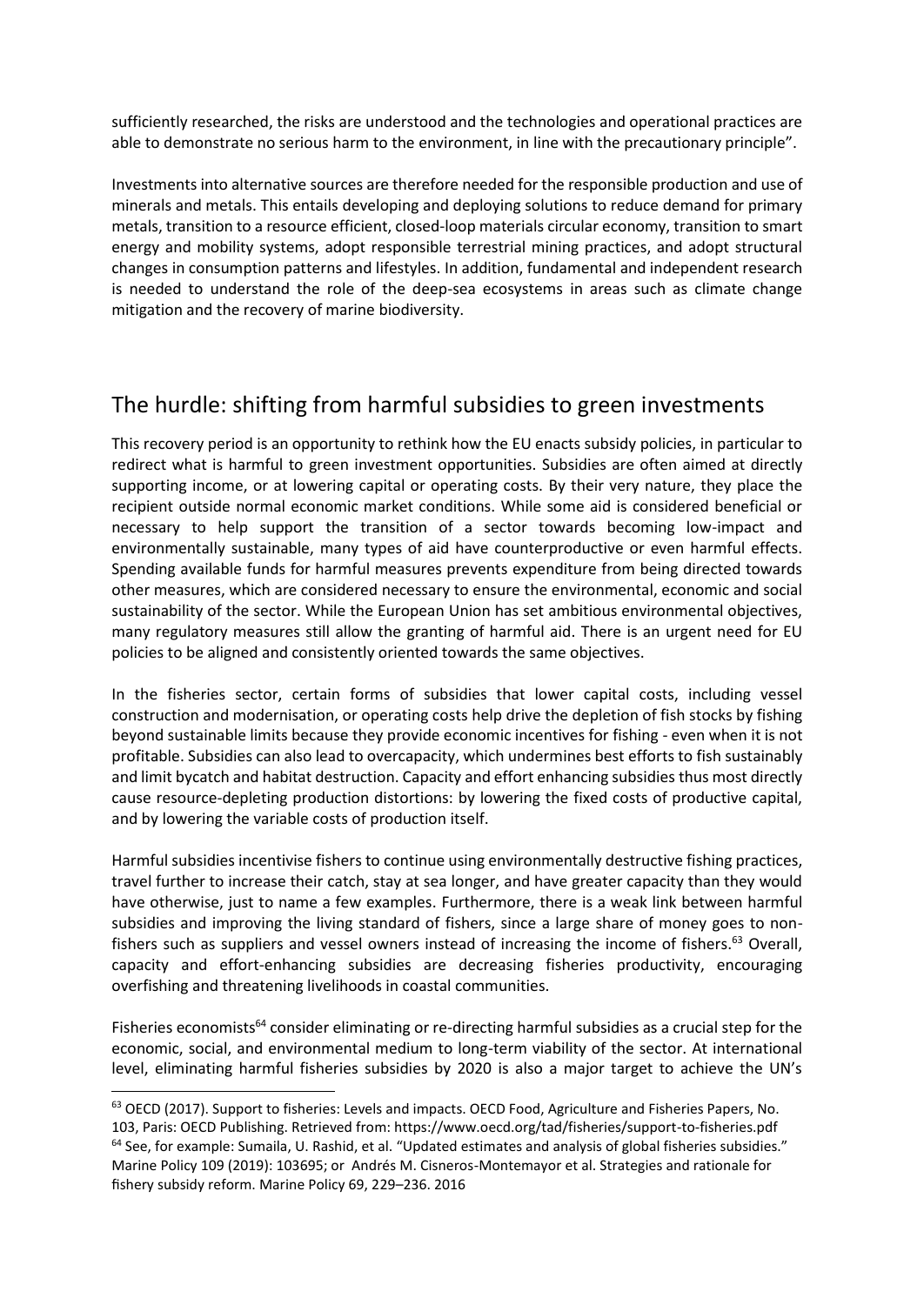sufficiently researched, the risks are understood and the technologies and operational practices are able to demonstrate no serious harm to the environment, in line with the precautionary principle".

Investments into alternative sources are therefore needed for the responsible production and use of minerals and metals. This entails developing and deploying solutions to reduce demand for primary metals, transition to a resource efficient, closed-loop materials circular economy, transition to smart energy and mobility systems, adopt responsible terrestrial mining practices, and adopt structural changes in consumption patterns and lifestyles. In addition, fundamental and independent research is needed to understand the role of the deep-sea ecosystems in areas such as climate change mitigation and the recovery of marine biodiversity.

### The hurdle: shifting from harmful subsidies to green investments

This recovery period is an opportunity to rethink how the EU enacts subsidy policies, in particular to redirect what is harmful to green investment opportunities. Subsidies are often aimed at directly supporting income, or at lowering capital or operating costs. By their very nature, they place the recipient outside normal economic market conditions. While some aid is considered beneficial or necessary to help support the transition of a sector towards becoming low-impact and environmentally sustainable, many types of aid have counterproductive or even harmful effects. Spending available funds for harmful measures prevents expenditure from being directed towards other measures, which are considered necessary to ensure the environmental, economic and social sustainability of the sector. While the European Union has set ambitious environmental objectives, many regulatory measures still allow the granting of harmful aid. There is an urgent need for EU policies to be aligned and consistently oriented towards the same objectives.

In the fisheries sector, certain forms of subsidies that lower capital costs, including vessel construction and modernisation, or operating costs help drive the depletion of fish stocks by fishing beyond sustainable limits because they provide economic incentives for fishing - even when it is not profitable. Subsidies can also lead to overcapacity, which undermines best efforts to fish sustainably and limit bycatch and habitat destruction. Capacity and effort enhancing subsidies thus most directly cause resource-depleting production distortions: by lowering the fixed costs of productive capital, and by lowering the variable costs of production itself.

Harmful subsidies incentivise fishers to continue using environmentally destructive fishing practices, travel further to increase their catch, stay at sea longer, and have greater capacity than they would have otherwise, just to name a few examples. Furthermore, there is a weak link between harmful subsidies and improving the living standard of fishers, since a large share of money goes to nonfishers such as suppliers and vessel owners instead of increasing the income of fishers.<sup>63</sup> Overall, capacity and effort-enhancing subsidies are decreasing fisheries productivity, encouraging overfishing and threatening livelihoods in coastal communities.

Fisheries economists<sup>64</sup> consider eliminating or re-directing harmful subsidies as a crucial step for the economic, social, and environmental medium to long-term viability of the sector. At international level, eliminating harmful fisheries subsidies by 2020 is also a major target to achieve the UN's

<sup>63</sup> OECD (2017). Support to fisheries: Levels and impacts. OECD Food, Agriculture and Fisheries Papers, No. 103, Paris: OECD Publishing. Retrieved from: https://www.oecd.org/tad/fisheries/support-to-fisheries.pdf <sup>64</sup> See, for example: Sumaila, U. Rashid, et al. "Updated estimates and analysis of global fisheries subsidies." Marine Policy 109 (2019): 103695; or Andrés M. Cisneros-Montemayor et al. Strategies and rationale for fishery subsidy reform. Marine Policy 69, 229–236. 2016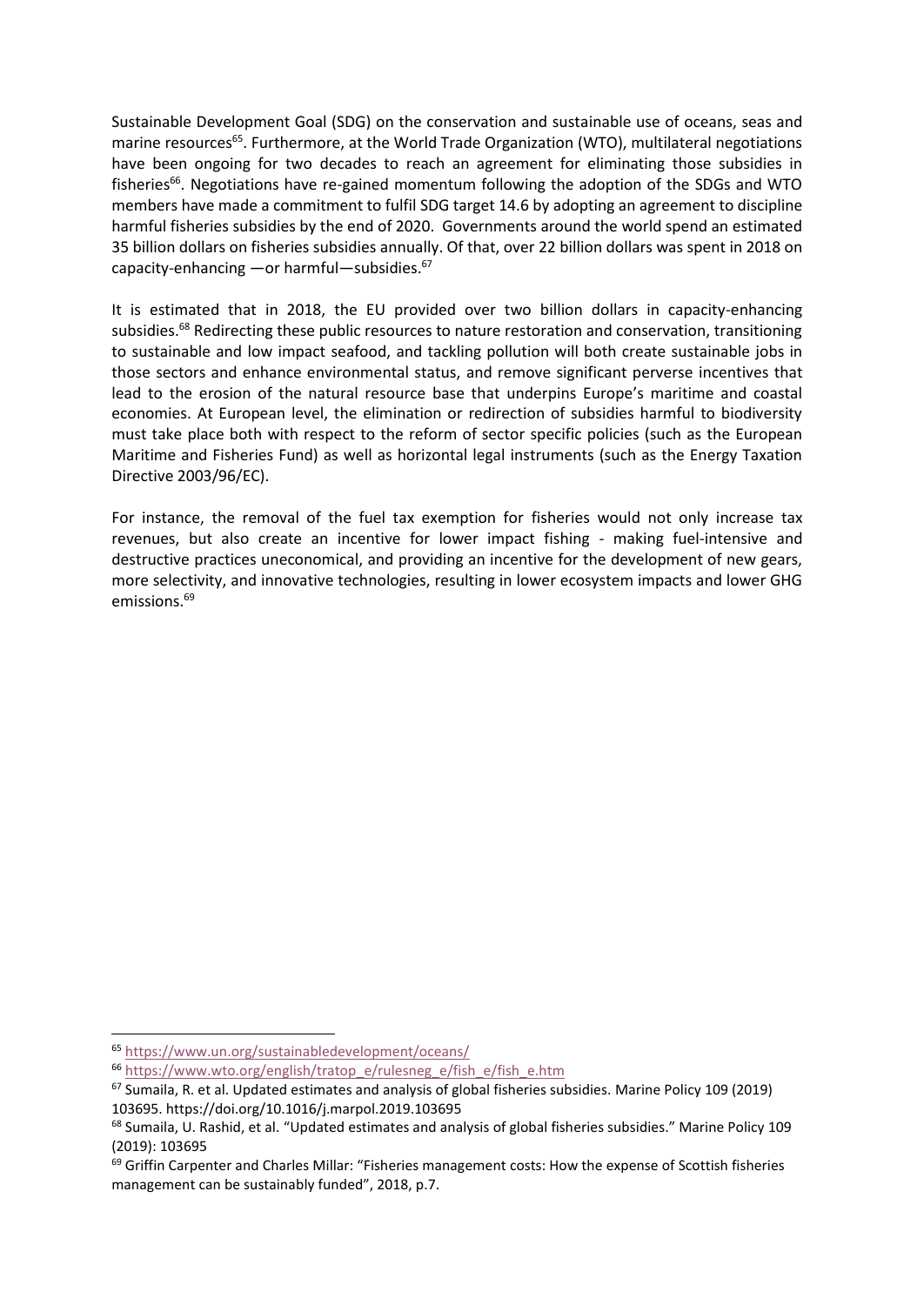Sustainable Development Goal (SDG) on the conservation and sustainable use of oceans, seas and marine resources<sup>65</sup>. Furthermore, at the World Trade Organization (WTO), multilateral negotiations have been ongoing for two decades to reach an agreement for eliminating those subsidies in fisheries<sup>66</sup>. Negotiations have re-gained momentum following the adoption of the SDGs and WTO members have made a commitment to fulfil SDG target 14.6 by adopting an agreement to discipline harmful fisheries subsidies by the end of 2020. Governments around the world spend an estimated 35 billion dollars on fisheries subsidies annually. Of that, over 22 billion dollars was spent in 2018 on capacity-enhancing —or harmful—subsidies. $67$ 

It is estimated that in 2018, the EU provided over two billion dollars in capacity-enhancing subsidies.<sup>68</sup> Redirecting these public resources to nature restoration and conservation, transitioning to sustainable and low impact seafood, and tackling pollution will both create sustainable jobs in those sectors and enhance environmental status, and remove significant perverse incentives that lead to the erosion of the natural resource base that underpins Europe's maritime and coastal economies. At European level, the elimination or redirection of subsidies harmful to biodiversity must take place both with respect to the reform of sector specific policies (such as the European Maritime and Fisheries Fund) as well as horizontal legal instruments (such as the Energy Taxation Directive 2003/96/EC).

For instance, the removal of the fuel tax exemption for fisheries would not only increase tax revenues, but also create an incentive for lower impact fishing - making fuel-intensive and destructive practices uneconomical, and providing an incentive for the development of new gears, more selectivity, and innovative technologies, resulting in lower ecosystem impacts and lower GHG emissions.<sup>69</sup>

<sup>65</sup> <https://www.un.org/sustainabledevelopment/oceans/>

<sup>&</sup>lt;sup>66</sup> [https://www.wto.org/english/tratop\\_e/rulesneg\\_e/fish\\_e/fish\\_e.htm](https://www.wto.org/english/tratop_e/rulesneg_e/fish_e/fish_e.htm)

 $67$  Sumaila, R. et al. Updated estimates and analysis of global fisheries subsidies. Marine Policy 109 (2019) 103695. https://doi.org/10.1016/j.marpol.2019.103695

<sup>&</sup>lt;sup>68</sup> Sumaila, U. Rashid, et al. "Updated estimates and analysis of global fisheries subsidies." Marine Policy 109 (2019): 103695

 $69$  Griffin Carpenter and Charles Millar: "Fisheries management costs: How the expense of Scottish fisheries management can be sustainably funded", 2018, p.7.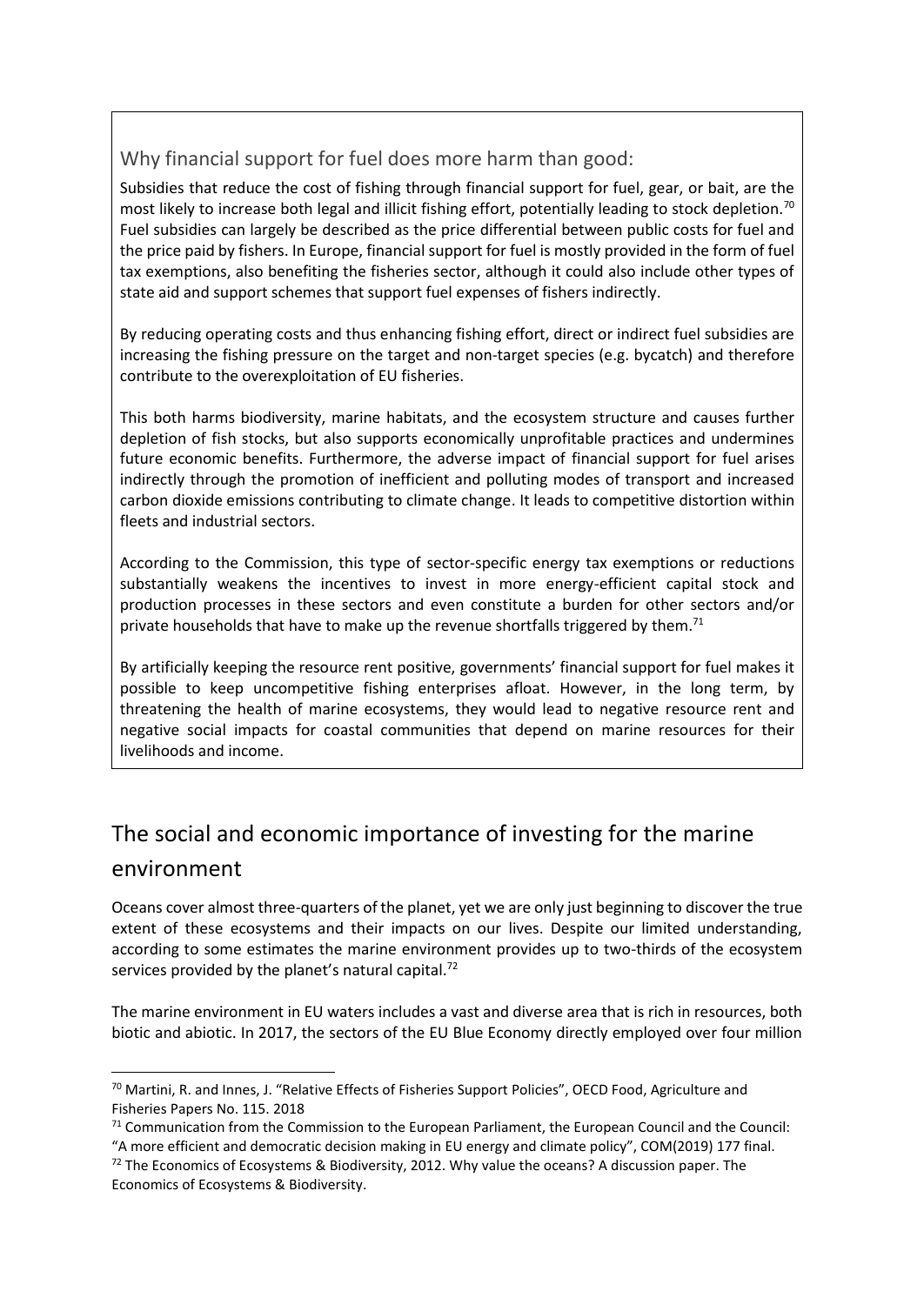### Why financial support for fuel does more harm than good:

Subsidies that reduce the cost of fishing through financial support for fuel, gear, or bait, are the most likely to increase both legal and illicit fishing effort, potentially leading to stock depletion.<sup>70</sup> Fuel subsidies can largely be described as the price differential between public costs for fuel and the price paid by fishers. In Europe, financial support for fuel is mostly provided in the form of fuel tax exemptions, also benefiting the fisheries sector, although it could also include other types of state aid and support schemes that support fuel expenses of fishers indirectly.

By reducing operating costs and thus enhancing fishing effort, direct or indirect fuel subsidies are increasing the fishing pressure on the target and non-target species (e.g. bycatch) and therefore contribute to the overexploitation of EU fisheries.

This both harms biodiversity, marine habitats, and the ecosystem structure and causes further depletion of fish stocks, but also supports economically unprofitable practices and undermines future economic benefits. Furthermore, the adverse impact of financial support for fuel arises indirectly through the promotion of inefficient and polluting modes of transport and increased carbon dioxide emissions contributing to climate change. It leads to competitive distortion within fleets and industrial sectors.

According to the Commission, this type of sector-specific energy tax exemptions or reductions substantially weakens the incentives to invest in more energy-efficient capital stock and production processes in these sectors and even constitute a burden for other sectors and/or private households that have to make up the revenue shortfalls triggered by them.<sup>71</sup>

By artificially keeping the resource rent positive, governments' financial support for fuel makes it possible to keep uncompetitive fishing enterprises afloat. However, in the long term, by threatening the health of marine ecosystems, they would lead to negative resource rent and negative social impacts for coastal communities that depend on marine resources for their livelihoods and income.

## The social and economic importance of investing for the marine environment

Oceans cover almost three-quarters of the planet, yet we are only just beginning to discover the true extent of these ecosystems and their impacts on our lives. Despite our limited understanding, according to some estimates the marine environment provides up to two-thirds of the ecosystem services provided by the planet's natural capital.<sup>72</sup>

The marine environment in EU waters includes a vast and diverse area that is rich in resources, both biotic and abiotic. In 2017, the sectors of the EU Blue Economy directly employed over four million

<sup>&</sup>lt;sup>70</sup> Martini, R. and Innes, J. "Relative Effects of Fisheries Support Policies", OECD Food, Agriculture and Fisheries Papers No. 115. 2018

 $71$  Communication from the Commission to the European Parliament, the European Council and the Council: "A more efficient and democratic decision making in EU energy and climate policy", COM(2019) 177 final.

 $72$  The Economics of Ecosystems & Biodiversity, 2012. Why value the oceans? A discussion paper. The Economics of Ecosystems & Biodiversity.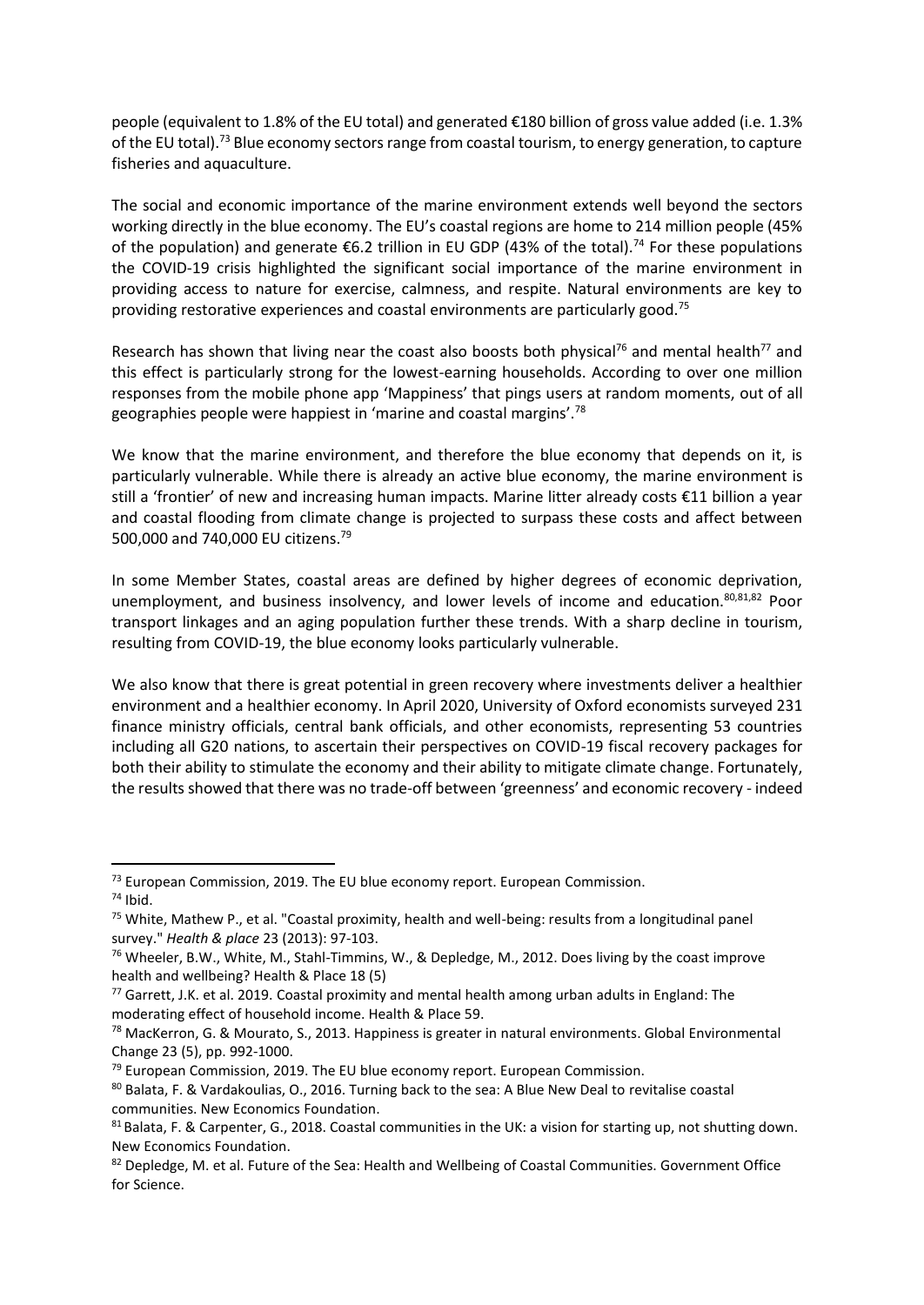people (equivalent to 1.8% of the EU total) and generated €180 billion of gross value added (i.e. 1.3% of the EU total).<sup>73</sup> Blue economy sectors range from coastal tourism, to energy generation, to capture fisheries and aquaculture.

The social and economic importance of the marine environment extends well beyond the sectors working directly in the blue economy. The EU's coastal regions are home to 214 million people (45% of the population) and generate  $\epsilon$ 6.2 trillion in EU GDP (43% of the total).<sup>74</sup> For these populations the COVID-19 crisis highlighted the significant social importance of the marine environment in providing access to nature for exercise, calmness, and respite. Natural environments are key to providing restorative experiences and coastal environments are particularly good.<sup>75</sup>

Research has shown that living near the coast also boosts both physical<sup>76</sup> and mental health<sup>77</sup> and this effect is particularly strong for the lowest-earning households. According to over one million responses from the mobile phone app 'Mappiness' that pings users at random moments, out of all geographies people were happiest in 'marine and coastal margins'.<sup>78</sup>

We know that the marine environment, and therefore the blue economy that depends on it, is particularly vulnerable. While there is already an active blue economy, the marine environment is still a 'frontier' of new and increasing human impacts. Marine litter already costs €11 billion a year and coastal flooding from climate change is projected to surpass these costs and affect between 500,000 and 740,000 EU citizens.<sup>79</sup>

In some Member States, coastal areas are defined by higher degrees of economic deprivation, unemployment, and business insolvency, and lower levels of income and education. $80,81,82$  Poor transport linkages and an aging population further these trends. With a sharp decline in tourism, resulting from COVID-19, the blue economy looks particularly vulnerable.

We also know that there is great potential in green recovery where investments deliver a healthier environment and a healthier economy. In April 2020, University of Oxford economists surveyed 231 finance ministry officials, central bank officials, and other economists, representing 53 countries including all G20 nations, to ascertain their perspectives on COVID-19 fiscal recovery packages for both their ability to stimulate the economy and their ability to mitigate climate change. Fortunately, the results showed that there was no trade-off between 'greenness' and economic recovery - indeed

<sup>73</sup> European Commission, 2019. The EU blue economy report. European Commission.  $74$  Ibid.

<sup>&</sup>lt;sup>75</sup> White, Mathew P., et al. "Coastal proximity, health and well-being: results from a longitudinal panel survey." *Health & place* 23 (2013): 97-103.

 $76$  Wheeler, B.W., White, M., Stahl-Timmins, W., & Depledge, M., 2012. Does living by the coast improve health and wellbeing? Health & Place 18 (5)

 $77$  Garrett, J.K. et al. 2019. Coastal proximity and mental health among urban adults in England: The moderating effect of household income. Health & Place 59.

<sup>&</sup>lt;sup>78</sup> MacKerron, G. & Mourato, S., 2013. Happiness is greater in natural environments. Global Environmental Change 23 (5), pp. 992-1000.

 $79$  European Commission, 2019. The EU blue economy report. European Commission.

<sup>80</sup> Balata, F. & Vardakoulias, O., 2016. Turning back to the sea: A Blue New Deal to revitalise coastal communities. New Economics Foundation.

 $81$  Balata, F. & Carpenter, G., 2018. Coastal communities in the UK: a vision for starting up, not shutting down. New Economics Foundation.

<sup>82</sup> Depledge, M. et al. Future of the Sea: Health and Wellbeing of Coastal Communities. Government Office for Science.